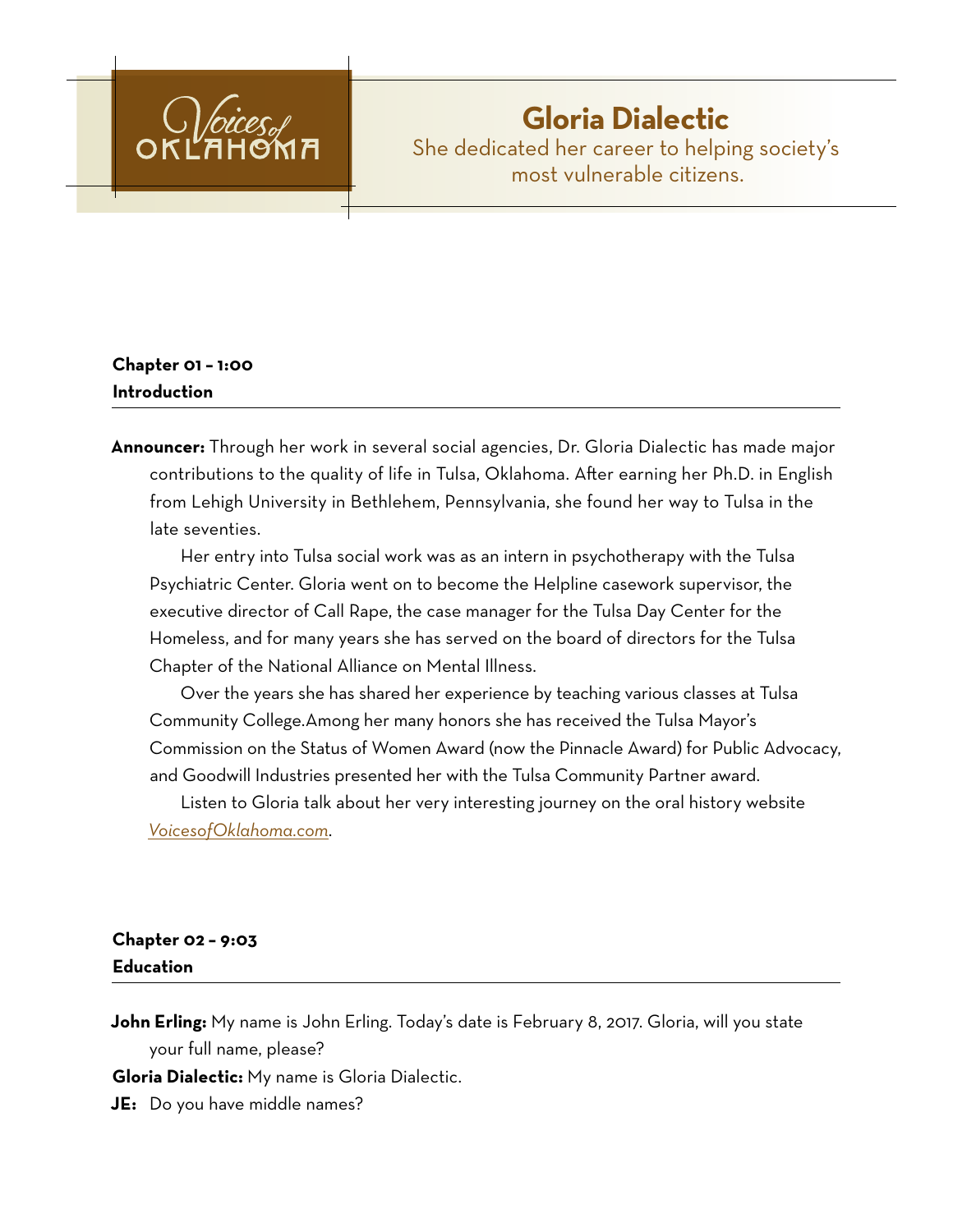

# **Gloria Dialectic** She dedicated her career to helping society's most vulnerable citizens.

### **Chapter 01 – 1:00 Introduction**

**Announcer:** Through her work in several social agencies, Dr. Gloria Dialectic has made major contributions to the quality of life in Tulsa, Oklahoma. After earning her Ph.D. in English from Lehigh University in Bethlehem, Pennsylvania, she found her way to Tulsa in the late seventies.

Her entry into Tulsa social work was as an intern in psychotherapy with the Tulsa Psychiatric Center. Gloria went on to become the Helpline casework supervisor, the executive director of Call Rape, the case manager for the Tulsa Day Center for the Homeless, and for many years she has served on the board of directors for the Tulsa Chapter of the National Alliance on Mental Illness.

Over the years she has shared her experience by teaching various classes at Tulsa Community College.Among her many honors she has received the Tulsa Mayor's Commission on the Status of Women Award (now the Pinnacle Award) for Public Advocacy, and Goodwill Industries presented her with the Tulsa Community Partner award.

Listen to Gloria talk about her very interesting journey on the oral history website *[VoicesofOklahoma.com](http://www.voicesofoklahoma.com)*.

## **Chapter 02 – 9:03 Education**

**John Erling:** My name is John Erling. Today's date is February 8, 2017. Gloria, will you state your full name, please?

**Gloria Dialectic:** My name is Gloria Dialectic.

**JE:** Do you have middle names?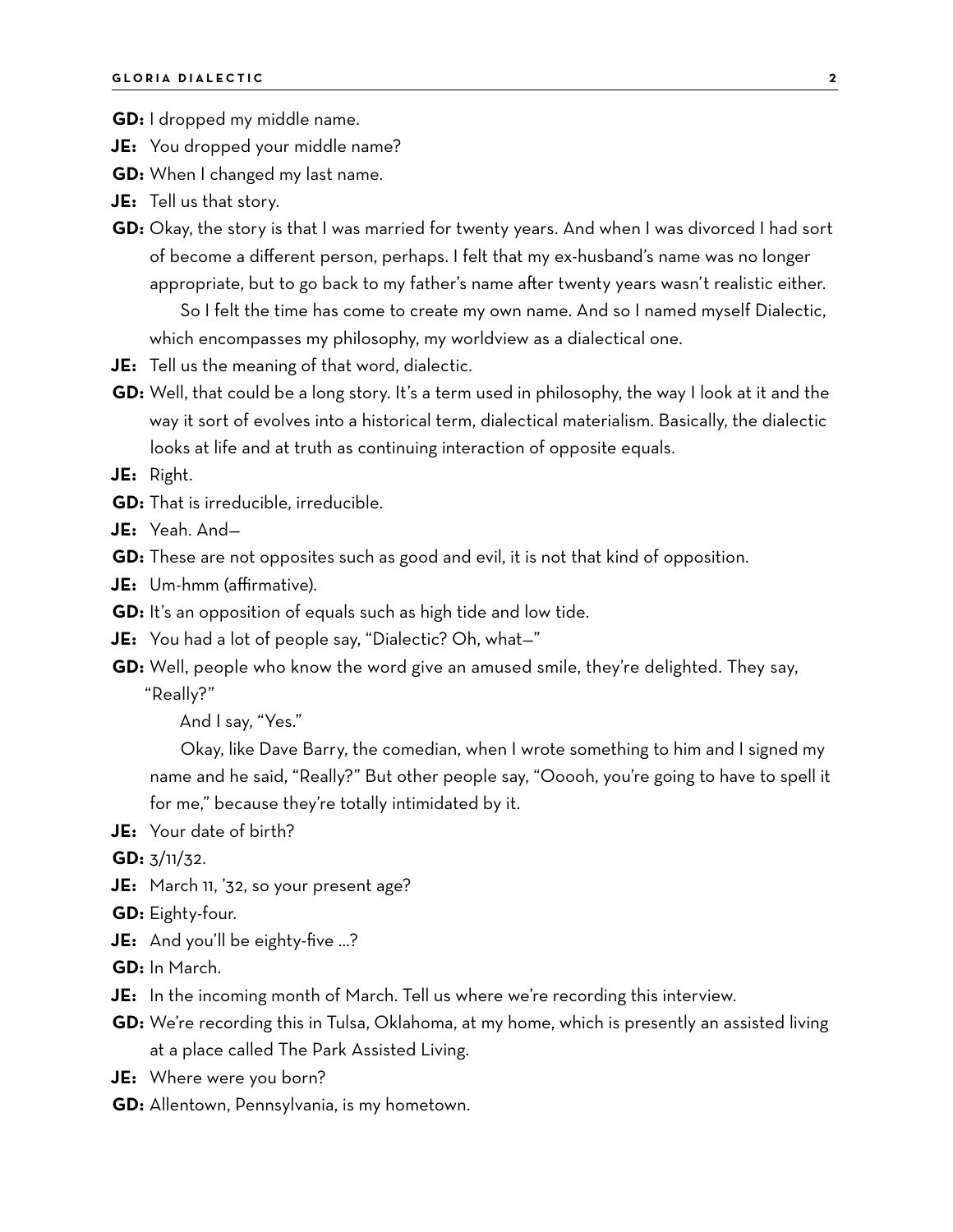**GD:** I dropped my middle name.

- **JE:** You dropped your middle name?
- **GD:** When I changed my last name.
- **JE:** Tell us that story.
- **GD:** Okay, the story is that I was married for twenty years. And when I was divorced I had sort of become a different person, perhaps. I felt that my ex-husband's name was no longer appropriate, but to go back to my father's name after twenty years wasn't realistic either.

So I felt the time has come to create my own name. And so I named myself Dialectic, which encompasses my philosophy, my worldview as a dialectical one.

- **JE:** Tell us the meaning of that word, dialectic.
- **GD:** Well, that could be a long story. It's a term used in philosophy, the way I look at it and the way it sort of evolves into a historical term, dialectical materialism. Basically, the dialectic looks at life and at truth as continuing interaction of opposite equals.

**JE:** Right.

- **GD:** That is irreducible, irreducible.
- **JE:** Yeah. And—
- **GD:** These are not opposites such as good and evil, it is not that kind of opposition.
- **JE:** Um-hmm (affirmative).
- **GD:** It's an opposition of equals such as high tide and low tide.
- **JE:** You had a lot of people say, "Dialectic? Oh, what—"
- **GD:** Well, people who know the word give an amused smile, they're delighted. They say, "Really?"

And I say, "Yes."

Okay, like Dave Barry, the comedian, when I wrote something to him and I signed my name and he said, "Really?" But other people say, "Ooooh, you're going to have to spell it for me," because they're totally intimidated by it.

**JE:** Your date of birth?

**GD:** 3/11/32.

- **JE:** March 11, '32, so your present age?
- **GD:** Eighty-four.
- **JE:** And you'll be eighty-five …?
- **GD:** In March.
- **JE:** In the incoming month of March. Tell us where we're recording this interview.
- **GD:** We're recording this in Tulsa, Oklahoma, at my home, which is presently an assisted living at a place called The Park Assisted Living.
- **JE:** Where were you born?
- **GD:** Allentown, Pennsylvania, is my hometown.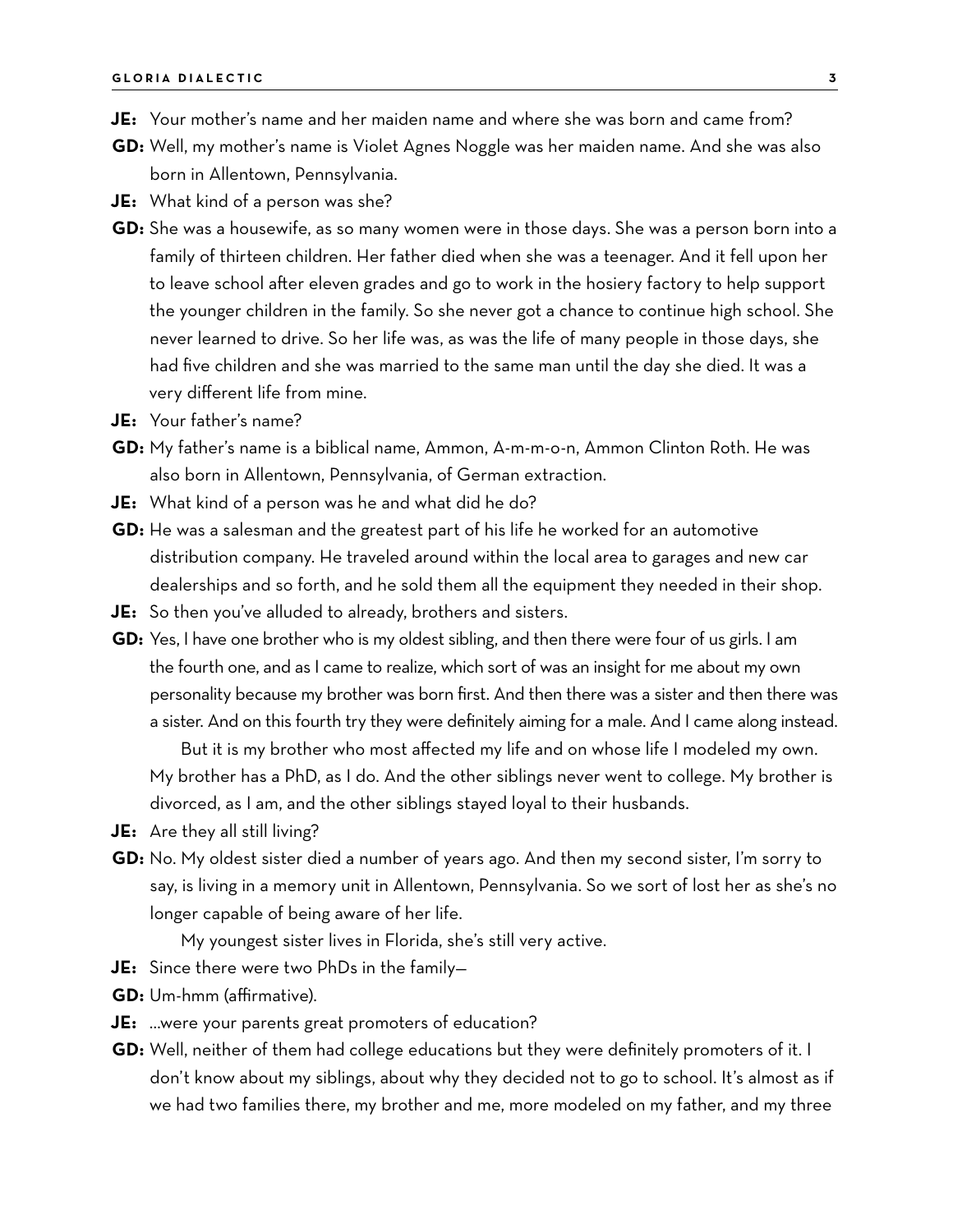- **JE:** Your mother's name and her maiden name and where she was born and came from?
- **GD:** Well, my mother's name is Violet Agnes Noggle was her maiden name. And she was also born in Allentown, Pennsylvania.
- **JE:** What kind of a person was she?
- **GD:** She was a housewife, as so many women were in those days. She was a person born into a family of thirteen children. Her father died when she was a teenager. And it fell upon her to leave school after eleven grades and go to work in the hosiery factory to help support the younger children in the family. So she never got a chance to continue high school. She never learned to drive. So her life was, as was the life of many people in those days, she had five children and she was married to the same man until the day she died. It was a very different life from mine.
- **JE:** Your father's name?
- **GD:** My father's name is a biblical name, Ammon, A-m-m-o-n, Ammon Clinton Roth. He was also born in Allentown, Pennsylvania, of German extraction.
- **JE:** What kind of a person was he and what did he do?
- **GD:** He was a salesman and the greatest part of his life he worked for an automotive distribution company. He traveled around within the local area to garages and new car dealerships and so forth, and he sold them all the equipment they needed in their shop.
- **JE:** So then you've alluded to already, brothers and sisters.
- **GD:** Yes, I have one brother who is my oldest sibling, and then there were four of us girls. I am the fourth one, and as I came to realize, which sort of was an insight for me about my own personality because my brother was born first. And then there was a sister and then there was a sister. And on this fourth try they were definitely aiming for a male. And I came along instead. But it is my brother who most affected my life and on whose life I modeled my own.

My brother has a PhD, as I do. And the other siblings never went to college. My brother is divorced, as I am, and the other siblings stayed loyal to their husbands.

- **JE:** Are they all still living?
- **GD:** No. My oldest sister died a number of years ago. And then my second sister, I'm sorry to say, is living in a memory unit in Allentown, Pennsylvania. So we sort of lost her as she's no longer capable of being aware of her life.

My youngest sister lives in Florida, she's still very active.

- **JE:** Since there were two PhDs in the family—
- **GD:** Um-hmm (affirmative).
- **JE:** …were your parents great promoters of education?
- **GD:** Well, neither of them had college educations but they were definitely promoters of it. I don't know about my siblings, about why they decided not to go to school. It's almost as if we had two families there, my brother and me, more modeled on my father, and my three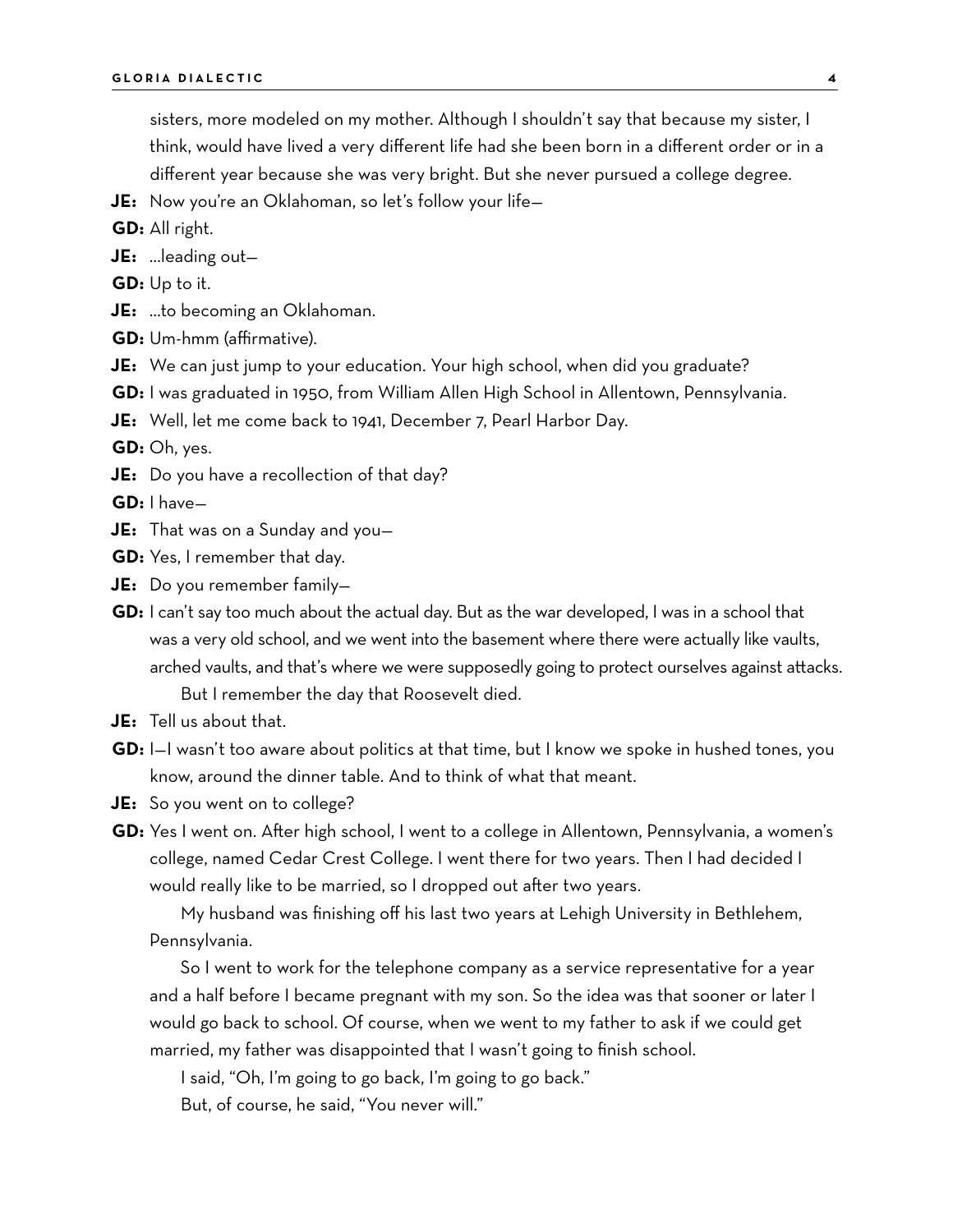sisters, more modeled on my mother. Although I shouldn't say that because my sister, I think, would have lived a very different life had she been born in a different order or in a different year because she was very bright. But she never pursued a college degree.

- **JE:** Now you're an Oklahoman, so let's follow your life—
- **GD:** All right.
- **JE:** …leading out—
- **GD:** Up to it.
- **JE:** …to becoming an Oklahoman.
- **GD:** Um-hmm (affirmative).
- **JE:** We can just jump to your education. Your high school, when did you graduate?
- **GD:** I was graduated in 1950, from William Allen High School in Allentown, Pennsylvania.

**JE:** Well, let me come back to 1941, December 7, Pearl Harbor Day.

**GD:** Oh, yes.

**JE:** Do you have a recollection of that day?

**GD:** I have—

- **JE:** That was on a Sunday and you—
- **GD:** Yes, I remember that day.
- **JE:** Do you remember family—
- **GD:** I can't say too much about the actual day. But as the war developed, I was in a school that was a very old school, and we went into the basement where there were actually like vaults, arched vaults, and that's where we were supposedly going to protect ourselves against attacks. But I remember the day that Roosevelt died.
- **JE:** Tell us about that.
- **GD:** I—I wasn't too aware about politics at that time, but I know we spoke in hushed tones, you know, around the dinner table. And to think of what that meant.
- **JE:** So you went on to college?
- **GD:** Yes I went on. After high school, I went to a college in Allentown, Pennsylvania, a women's college, named Cedar Crest College. I went there for two years. Then I had decided I would really like to be married, so I dropped out after two years.

My husband was finishing off his last two years at Lehigh University in Bethlehem, Pennsylvania.

So I went to work for the telephone company as a service representative for a year and a half before I became pregnant with my son. So the idea was that sooner or later I would go back to school. Of course, when we went to my father to ask if we could get married, my father was disappointed that I wasn't going to finish school.

I said, "Oh, I'm going to go back, I'm going to go back."

But, of course, he said, "You never will."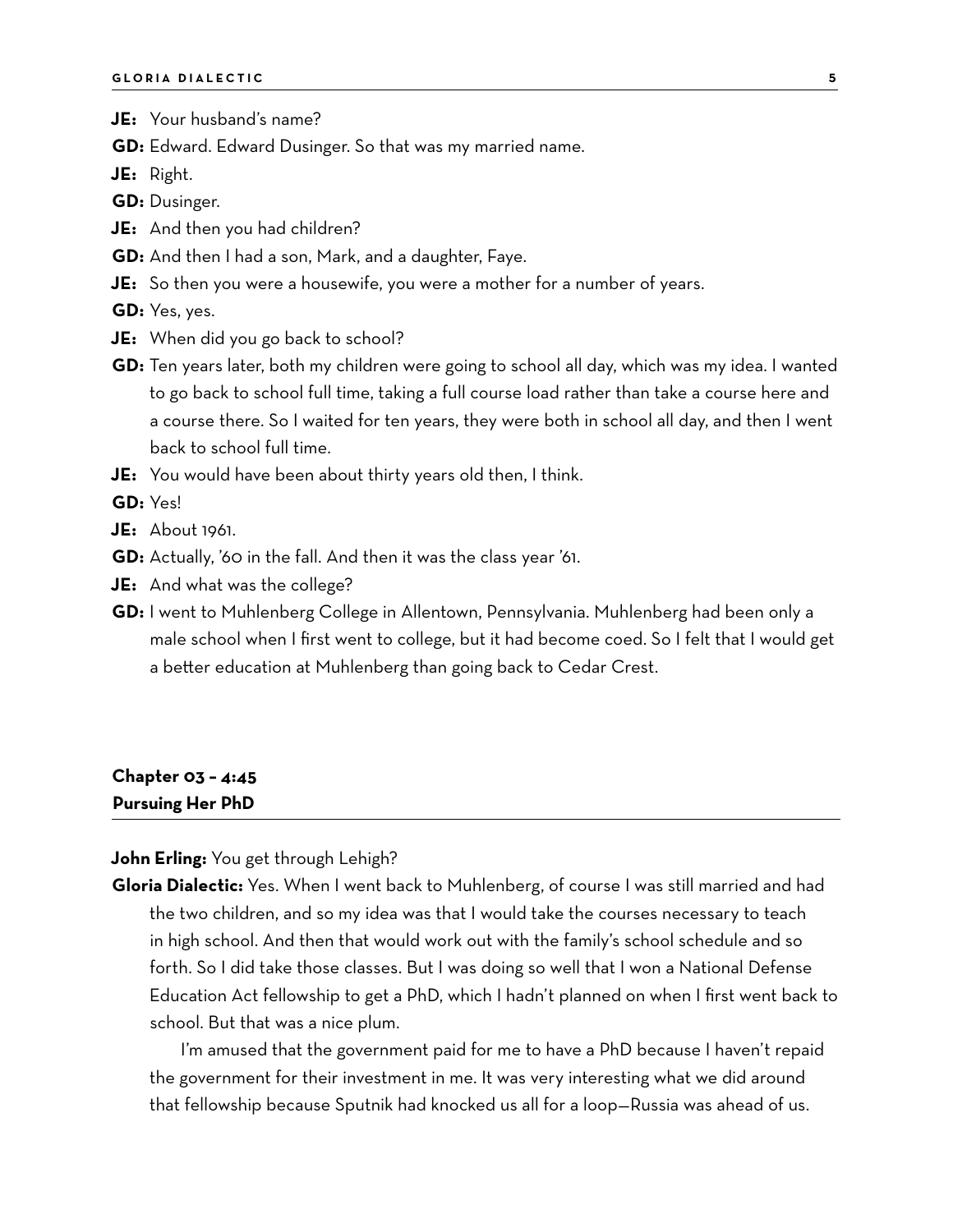- **JE:** Your husband's name?
- **GD:** Edward. Edward Dusinger. So that was my married name.
- **JE:** Right.
- **GD:** Dusinger.
- **JE:** And then you had children?
- **GD:** And then I had a son, Mark, and a daughter, Faye.
- **JE:** So then you were a housewife, you were a mother for a number of years.
- **GD:** Yes, yes.
- **JE:** When did you go back to school?
- **GD:** Ten years later, both my children were going to school all day, which was my idea. I wanted to go back to school full time, taking a full course load rather than take a course here and a course there. So I waited for ten years, they were both in school all day, and then I went back to school full time.
- **JE:** You would have been about thirty years old then, I think.

**GD:** Yes!

- **JE:** About 1961.
- **GD:** Actually, '60 in the fall. And then it was the class year '61.
- **JE:** And what was the college?
- **GD:** I went to Muhlenberg College in Allentown, Pennsylvania. Muhlenberg had been only a male school when I first went to college, but it had become coed. So I felt that I would get a better education at Muhlenberg than going back to Cedar Crest.

#### **Chapter 03 – 4:45 Pursuing Her PhD**

**John Erling:** You get through Lehigh?

**Gloria Dialectic:** Yes. When I went back to Muhlenberg, of course I was still married and had the two children, and so my idea was that I would take the courses necessary to teach in high school. And then that would work out with the family's school schedule and so forth. So I did take those classes. But I was doing so well that I won a National Defense Education Act fellowship to get a PhD, which I hadn't planned on when I first went back to school. But that was a nice plum.

I'm amused that the government paid for me to have a PhD because I haven't repaid the government for their investment in me. It was very interesting what we did around that fellowship because Sputnik had knocked us all for a loop—Russia was ahead of us.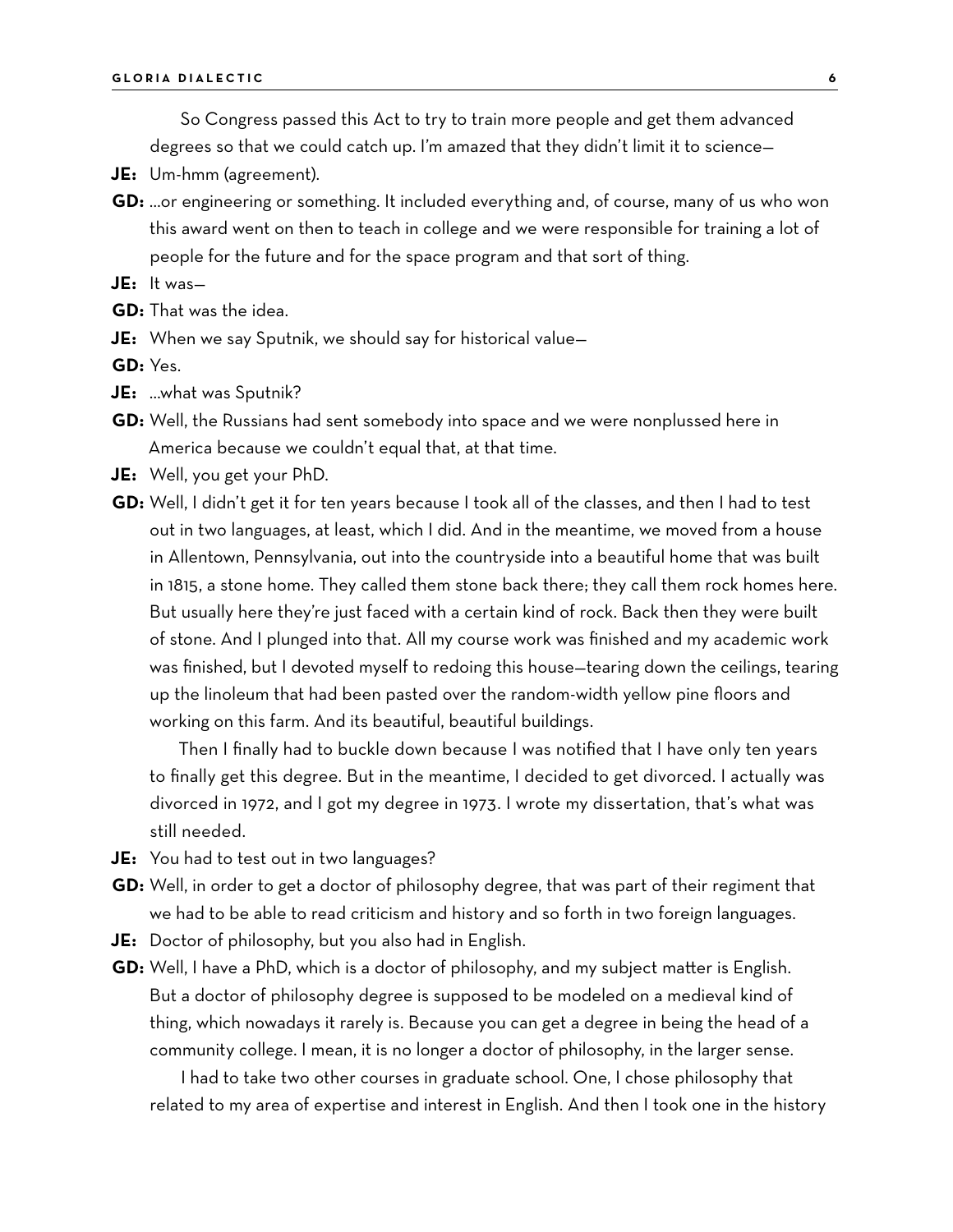So Congress passed this Act to try to train more people and get them advanced degrees so that we could catch up. I'm amazed that they didn't limit it to science—

- **JE:** Um-hmm (agreement).
- **GD:** …or engineering or something. It included everything and, of course, many of us who won this award went on then to teach in college and we were responsible for training a lot of people for the future and for the space program and that sort of thing.
- **JE:** It was—
- **GD:** That was the idea.
- **JE:** When we say Sputnik, we should say for historical value—

**GD:** Yes.

- **JE:** …what was Sputnik?
- **GD:** Well, the Russians had sent somebody into space and we were nonplussed here in America because we couldn't equal that, at that time.
- **JE:** Well, you get your PhD.
- **GD:** Well, I didn't get it for ten years because I took all of the classes, and then I had to test out in two languages, at least, which I did. And in the meantime, we moved from a house in Allentown, Pennsylvania, out into the countryside into a beautiful home that was built in 1815, a stone home. They called them stone back there; they call them rock homes here. But usually here they're just faced with a certain kind of rock. Back then they were built of stone. And I plunged into that. All my course work was finished and my academic work was finished, but I devoted myself to redoing this house—tearing down the ceilings, tearing up the linoleum that had been pasted over the random-width yellow pine floors and working on this farm. And its beautiful, beautiful buildings.

Then I finally had to buckle down because I was notified that I have only ten years to finally get this degree. But in the meantime, I decided to get divorced. I actually was divorced in 1972, and I got my degree in 1973. I wrote my dissertation, that's what was still needed.

- **JE:** You had to test out in two languages?
- **GD:** Well, in order to get a doctor of philosophy degree, that was part of their regiment that we had to be able to read criticism and history and so forth in two foreign languages.
- **JE:** Doctor of philosophy, but you also had in English.
- **GD:** Well, I have a PhD, which is a doctor of philosophy, and my subject matter is English. But a doctor of philosophy degree is supposed to be modeled on a medieval kind of thing, which nowadays it rarely is. Because you can get a degree in being the head of a community college. I mean, it is no longer a doctor of philosophy, in the larger sense.

I had to take two other courses in graduate school. One, I chose philosophy that related to my area of expertise and interest in English. And then I took one in the history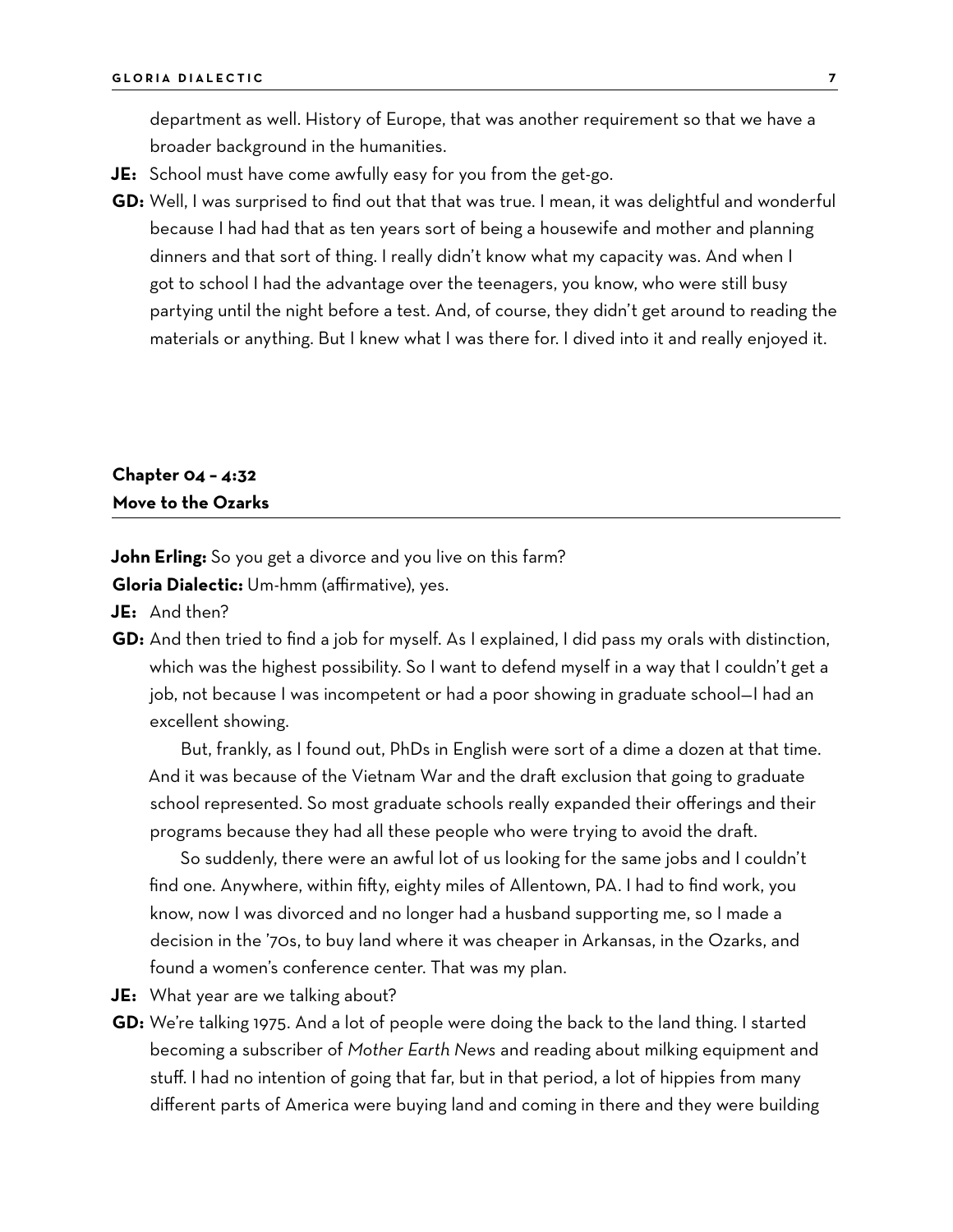department as well. History of Europe, that was another requirement so that we have a broader background in the humanities.

- **JE:** School must have come awfully easy for you from the get-go.
- **GD:** Well, I was surprised to find out that that was true. I mean, it was delightful and wonderful because I had had that as ten years sort of being a housewife and mother and planning dinners and that sort of thing. I really didn't know what my capacity was. And when I got to school I had the advantage over the teenagers, you know, who were still busy partying until the night before a test. And, of course, they didn't get around to reading the materials or anything. But I knew what I was there for. I dived into it and really enjoyed it.

### **Chapter 04 – 4:32 Move to the Ozarks**

**John Erling:** So you get a divorce and you live on this farm? **Gloria Dialectic:** Um-hmm (affirmative), yes.

**JE:** And then?

**GD:** And then tried to find a job for myself. As I explained, I did pass my orals with distinction, which was the highest possibility. So I want to defend myself in a way that I couldn't get a job, not because I was incompetent or had a poor showing in graduate school—I had an excellent showing.

But, frankly, as I found out, PhDs in English were sort of a dime a dozen at that time. And it was because of the Vietnam War and the draft exclusion that going to graduate school represented. So most graduate schools really expanded their offerings and their programs because they had all these people who were trying to avoid the draft.

So suddenly, there were an awful lot of us looking for the same jobs and I couldn't find one. Anywhere, within fifty, eighty miles of Allentown, PA. I had to find work, you know, now I was divorced and no longer had a husband supporting me, so I made a decision in the '70s, to buy land where it was cheaper in Arkansas, in the Ozarks, and found a women's conference center. That was my plan.

- **JE:** What year are we talking about?
- **GD:** We're talking 1975. And a lot of people were doing the back to the land thing. I started becoming a subscriber of *Mother Earth News* and reading about milking equipment and stuff. I had no intention of going that far, but in that period, a lot of hippies from many different parts of America were buying land and coming in there and they were building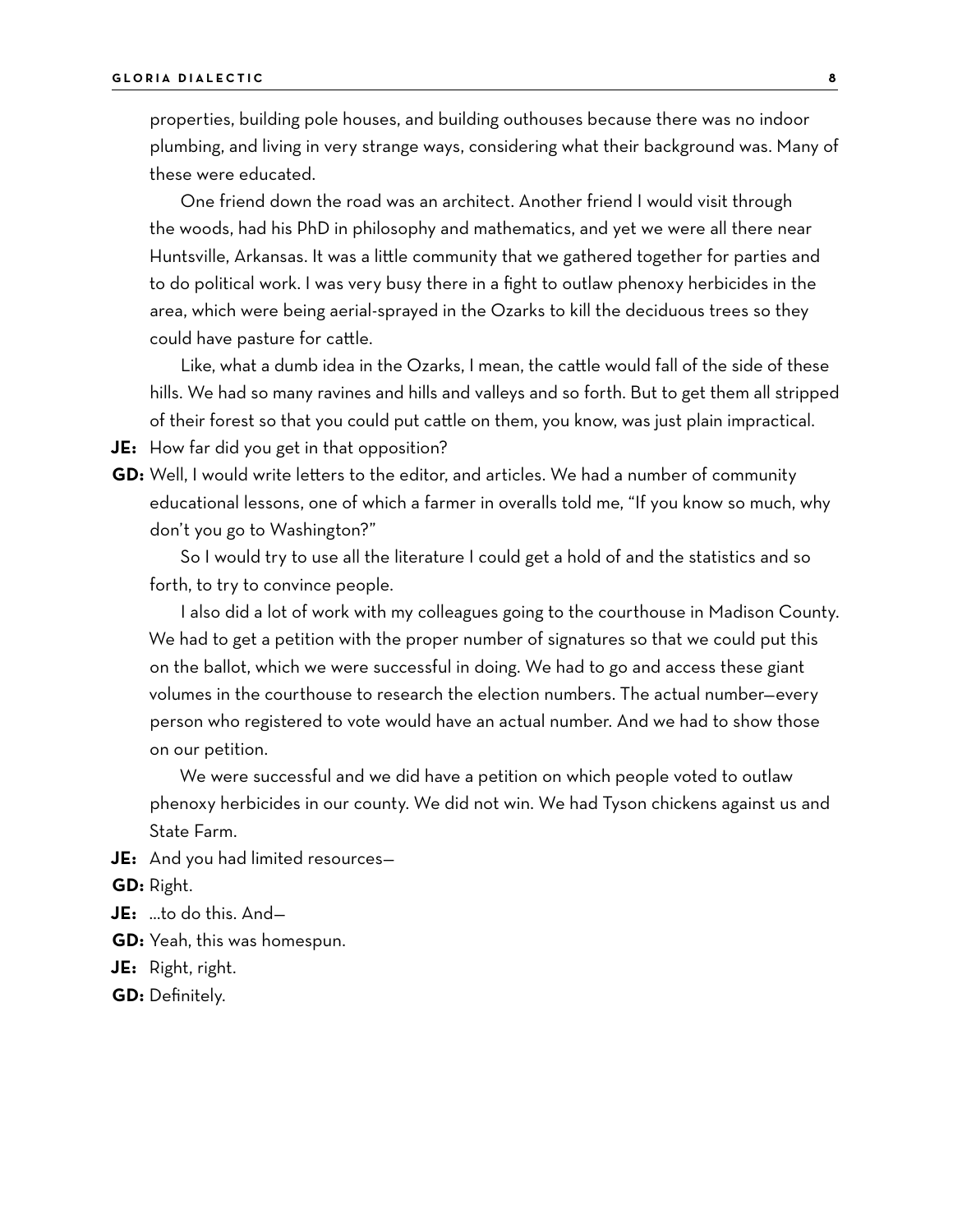properties, building pole houses, and building outhouses because there was no indoor plumbing, and living in very strange ways, considering what their background was. Many of these were educated.

One friend down the road was an architect. Another friend I would visit through the woods, had his PhD in philosophy and mathematics, and yet we were all there near Huntsville, Arkansas. It was a little community that we gathered together for parties and to do political work. I was very busy there in a fight to outlaw phenoxy herbicides in the area, which were being aerial-sprayed in the Ozarks to kill the deciduous trees so they could have pasture for cattle.

Like, what a dumb idea in the Ozarks, I mean, the cattle would fall of the side of these hills. We had so many ravines and hills and valleys and so forth. But to get them all stripped of their forest so that you could put cattle on them, you know, was just plain impractical.

**JE:** How far did you get in that opposition?

**GD:** Well, I would write letters to the editor, and articles. We had a number of community educational lessons, one of which a farmer in overalls told me, "If you know so much, why don't you go to Washington?"

So I would try to use all the literature I could get a hold of and the statistics and so forth, to try to convince people.

I also did a lot of work with my colleagues going to the courthouse in Madison County. We had to get a petition with the proper number of signatures so that we could put this on the ballot, which we were successful in doing. We had to go and access these giant volumes in the courthouse to research the election numbers. The actual number—every person who registered to vote would have an actual number. And we had to show those on our petition.

We were successful and we did have a petition on which people voted to outlaw phenoxy herbicides in our county. We did not win. We had Tyson chickens against us and State Farm.

**JE:** And you had limited resources—

**GD:** Right.

- **JE:** …to do this. And—
- **GD:** Yeah, this was homespun.
- **JE:** Right, right.
- **GD:** Definitely.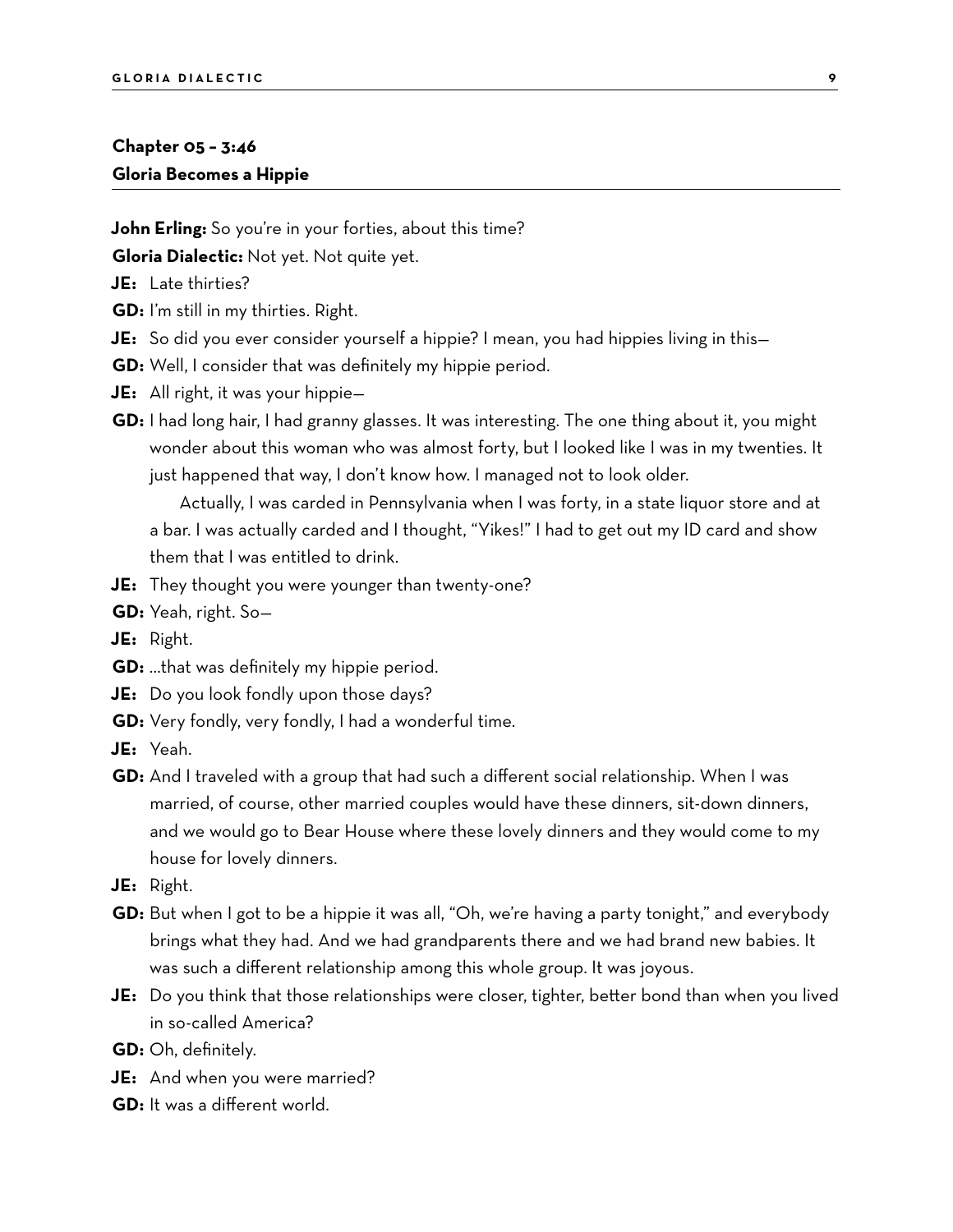### **Chapter 05 – 3:46 Gloria Becomes a Hippie**

**John Erling:** So you're in your forties, about this time?

**Gloria Dialectic:** Not yet. Not quite yet.

- **JE:** Late thirties?
- **GD:** I'm still in my thirties. Right.
- **JE:** So did you ever consider yourself a hippie? I mean, you had hippies living in this—
- **GD:** Well, I consider that was definitely my hippie period.
- **JE:** All right, it was your hippie—
- **GD:** I had long hair, I had granny glasses. It was interesting. The one thing about it, you might wonder about this woman who was almost forty, but I looked like I was in my twenties. It just happened that way, I don't know how. I managed not to look older.

Actually, I was carded in Pennsylvania when I was forty, in a state liquor store and at a bar. I was actually carded and I thought, "Yikes!" I had to get out my ID card and show them that I was entitled to drink.

- **JE:** They thought you were younger than twenty-one?
- **GD:** Yeah, right. So—
- **JE:** Right.
- **GD:** …that was definitely my hippie period.
- **JE:** Do you look fondly upon those days?
- **GD:** Very fondly, very fondly, I had a wonderful time.
- **JE:** Yeah.
- **GD:** And I traveled with a group that had such a different social relationship. When I was married, of course, other married couples would have these dinners, sit-down dinners, and we would go to Bear House where these lovely dinners and they would come to my house for lovely dinners.
- **JE:** Right.
- **GD:** But when I got to be a hippie it was all, "Oh, we're having a party tonight," and everybody brings what they had. And we had grandparents there and we had brand new babies. It was such a different relationship among this whole group. It was joyous.
- **JE:** Do you think that those relationships were closer, tighter, better bond than when you lived in so-called America?
- **GD:** Oh, definitely.
- **JE:** And when you were married?
- **GD:** It was a different world.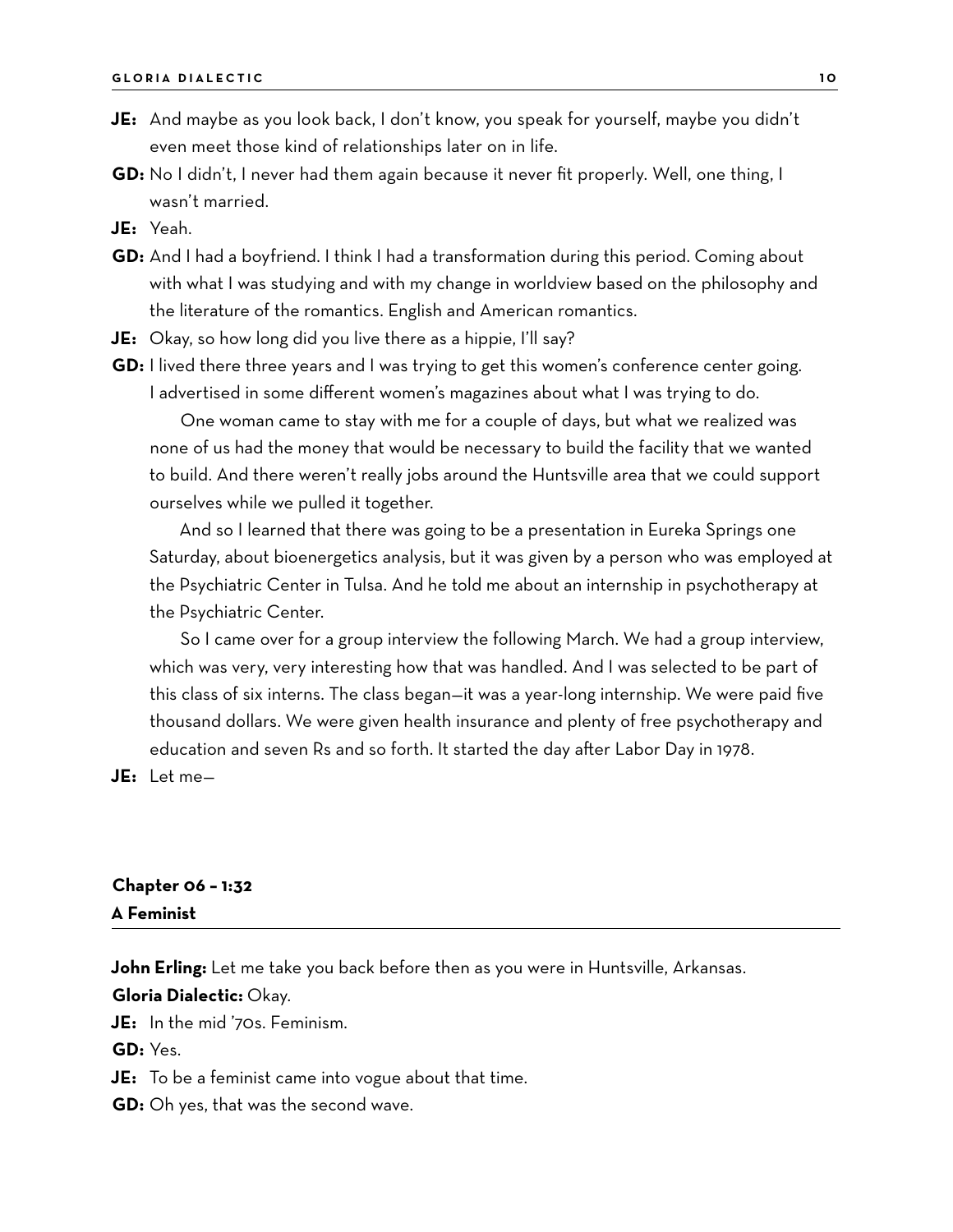- **JE:** And maybe as you look back, I don't know, you speak for yourself, maybe you didn't even meet those kind of relationships later on in life.
- **GD:** No I didn't, I never had them again because it never fit properly. Well, one thing, I wasn't married.

**JE:** Yeah.

- **GD:** And I had a boyfriend. I think I had a transformation during this period. Coming about with what I was studying and with my change in worldview based on the philosophy and the literature of the romantics. English and American romantics.
- **JE:** Okay, so how long did you live there as a hippie, I'll say?
- **GD:** I lived there three years and I was trying to get this women's conference center going. I advertised in some different women's magazines about what I was trying to do.

One woman came to stay with me for a couple of days, but what we realized was none of us had the money that would be necessary to build the facility that we wanted to build. And there weren't really jobs around the Huntsville area that we could support ourselves while we pulled it together.

And so I learned that there was going to be a presentation in Eureka Springs one Saturday, about bioenergetics analysis, but it was given by a person who was employed at the Psychiatric Center in Tulsa. And he told me about an internship in psychotherapy at the Psychiatric Center.

So I came over for a group interview the following March. We had a group interview, which was very, very interesting how that was handled. And I was selected to be part of this class of six interns. The class began—it was a year-long internship. We were paid five thousand dollars. We were given health insurance and plenty of free psychotherapy and education and seven Rs and so forth. It started the day after Labor Day in 1978.

**JE:** Let me—

#### **Chapter 06 – 1:32 A Feminist**

**John Erling:** Let me take you back before then as you were in Huntsville, Arkansas.

**Gloria Dialectic:** Okay.

**JE:** In the mid '70s. Feminism.

**GD:** Yes.

**JE:** To be a feminist came into vogue about that time.

**GD:** Oh yes, that was the second wave.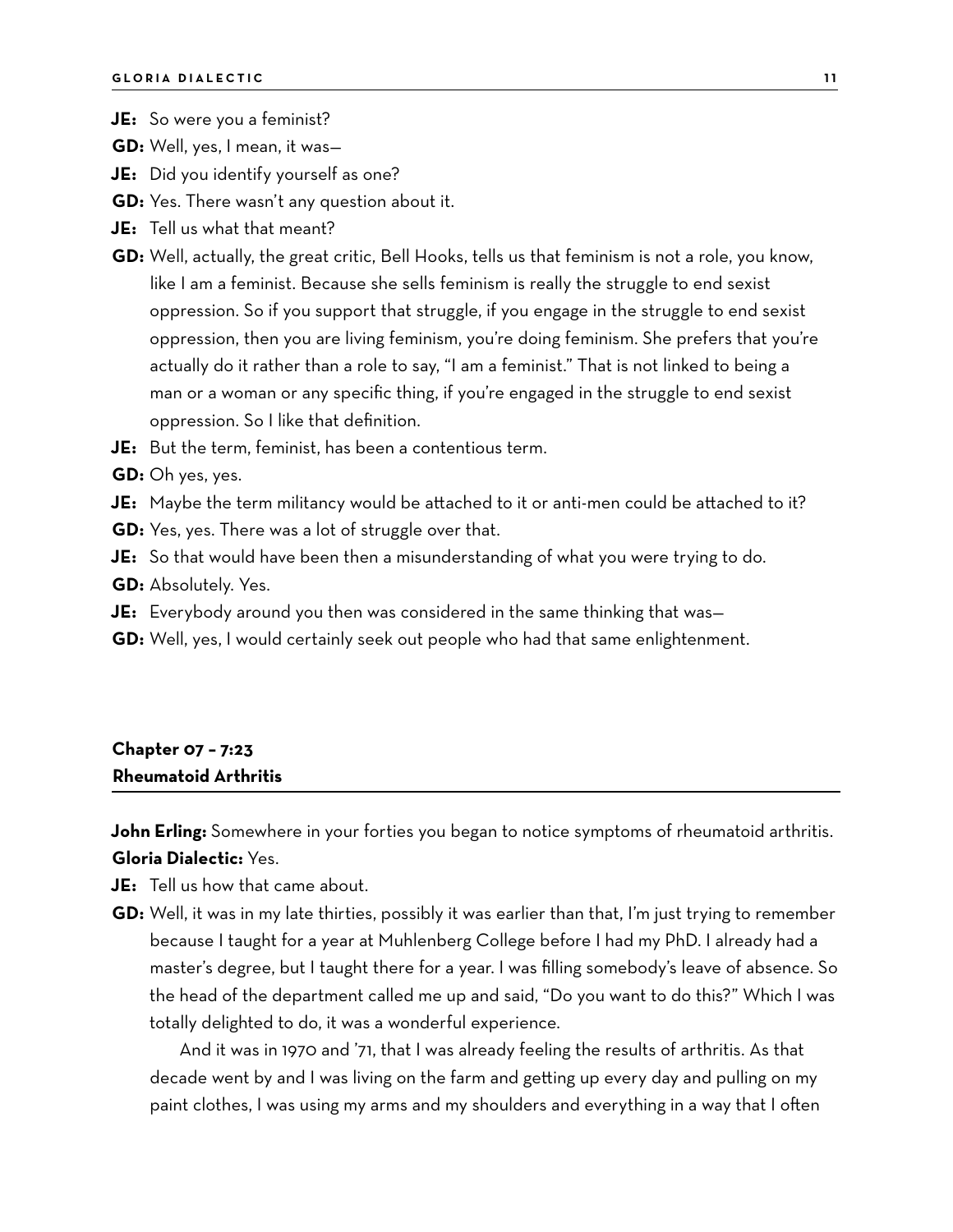**JE:** So were you a feminist?

**GD:** Well, yes, I mean, it was—

**JE:** Did you identify yourself as one?

**GD:** Yes. There wasn't any question about it.

**JE:** Tell us what that meant?

**GD:** Well, actually, the great critic, Bell Hooks, tells us that feminism is not a role, you know, like I am a feminist. Because she sells feminism is really the struggle to end sexist oppression. So if you support that struggle, if you engage in the struggle to end sexist oppression, then you are living feminism, you're doing feminism. She prefers that you're actually do it rather than a role to say, "I am a feminist." That is not linked to being a man or a woman or any specific thing, if you're engaged in the struggle to end sexist oppression. So I like that definition.

**JE:** But the term, feminist, has been a contentious term.

**GD:** Oh yes, yes.

**JE:** Maybe the term militancy would be attached to it or anti-men could be attached to it? **GD:** Yes, yes. There was a lot of struggle over that.

**JE:** So that would have been then a misunderstanding of what you were trying to do.

**GD:** Absolutely. Yes.

**JE:** Everybody around you then was considered in the same thinking that was—

**GD:** Well, yes, I would certainly seek out people who had that same enlightenment.

### **Chapter 07 – 7:23 Rheumatoid Arthritis**

**John Erling:** Somewhere in your forties you began to notice symptoms of rheumatoid arthritis. **Gloria Dialectic:** Yes.

**JE:** Tell us how that came about.

**GD:** Well, it was in my late thirties, possibly it was earlier than that, I'm just trying to remember because I taught for a year at Muhlenberg College before I had my PhD. I already had a master's degree, but I taught there for a year. I was filling somebody's leave of absence. So the head of the department called me up and said, "Do you want to do this?" Which I was totally delighted to do, it was a wonderful experience.

And it was in 1970 and '71, that I was already feeling the results of arthritis. As that decade went by and I was living on the farm and getting up every day and pulling on my paint clothes, I was using my arms and my shoulders and everything in a way that I often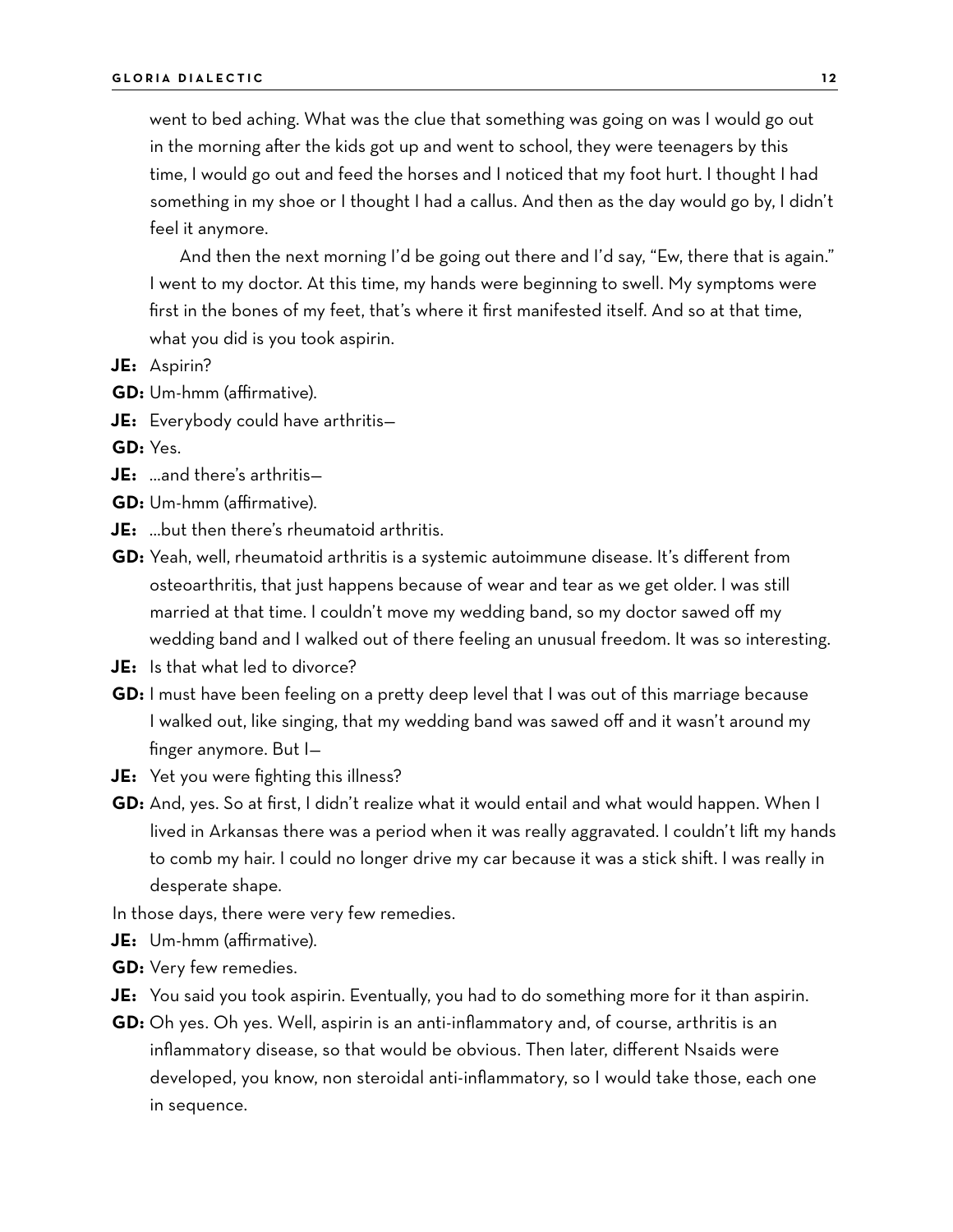went to bed aching. What was the clue that something was going on was I would go out in the morning after the kids got up and went to school, they were teenagers by this time, I would go out and feed the horses and I noticed that my foot hurt. I thought I had something in my shoe or I thought I had a callus. And then as the day would go by, I didn't feel it anymore.

And then the next morning I'd be going out there and I'd say, "Ew, there that is again." I went to my doctor. At this time, my hands were beginning to swell. My symptoms were first in the bones of my feet, that's where it first manifested itself. And so at that time, what you did is you took aspirin.

- **JE:** Aspirin?
- **GD:** Um-hmm (affirmative).
- **JE:** Everybody could have arthritis—

**GD:** Yes.

- **JE:** …and there's arthritis—
- **GD:** Um-hmm (affirmative).
- **JE:** …but then there's rheumatoid arthritis.
- **GD:** Yeah, well, rheumatoid arthritis is a systemic autoimmune disease. It's different from osteoarthritis, that just happens because of wear and tear as we get older. I was still married at that time. I couldn't move my wedding band, so my doctor sawed off my wedding band and I walked out of there feeling an unusual freedom. It was so interesting.
- **JE:** Is that what led to divorce?
- **GD:** I must have been feeling on a pretty deep level that I was out of this marriage because I walked out, like singing, that my wedding band was sawed off and it wasn't around my finger anymore. But I—
- **JE:** Yet you were fighting this illness?
- **GD:** And, yes. So at first, I didn't realize what it would entail and what would happen. When I lived in Arkansas there was a period when it was really aggravated. I couldn't lift my hands to comb my hair. I could no longer drive my car because it was a stick shift. I was really in desperate shape.
- In those days, there were very few remedies.
- **JE:** Um-hmm (affirmative).
- **GD:** Very few remedies.
- **JE:** You said you took aspirin. Eventually, you had to do something more for it than aspirin.
- **GD:** Oh yes. Oh yes. Well, aspirin is an anti-inflammatory and, of course, arthritis is an inflammatory disease, so that would be obvious. Then later, different Nsaids were developed, you know, non steroidal anti-inflammatory, so I would take those, each one in sequence.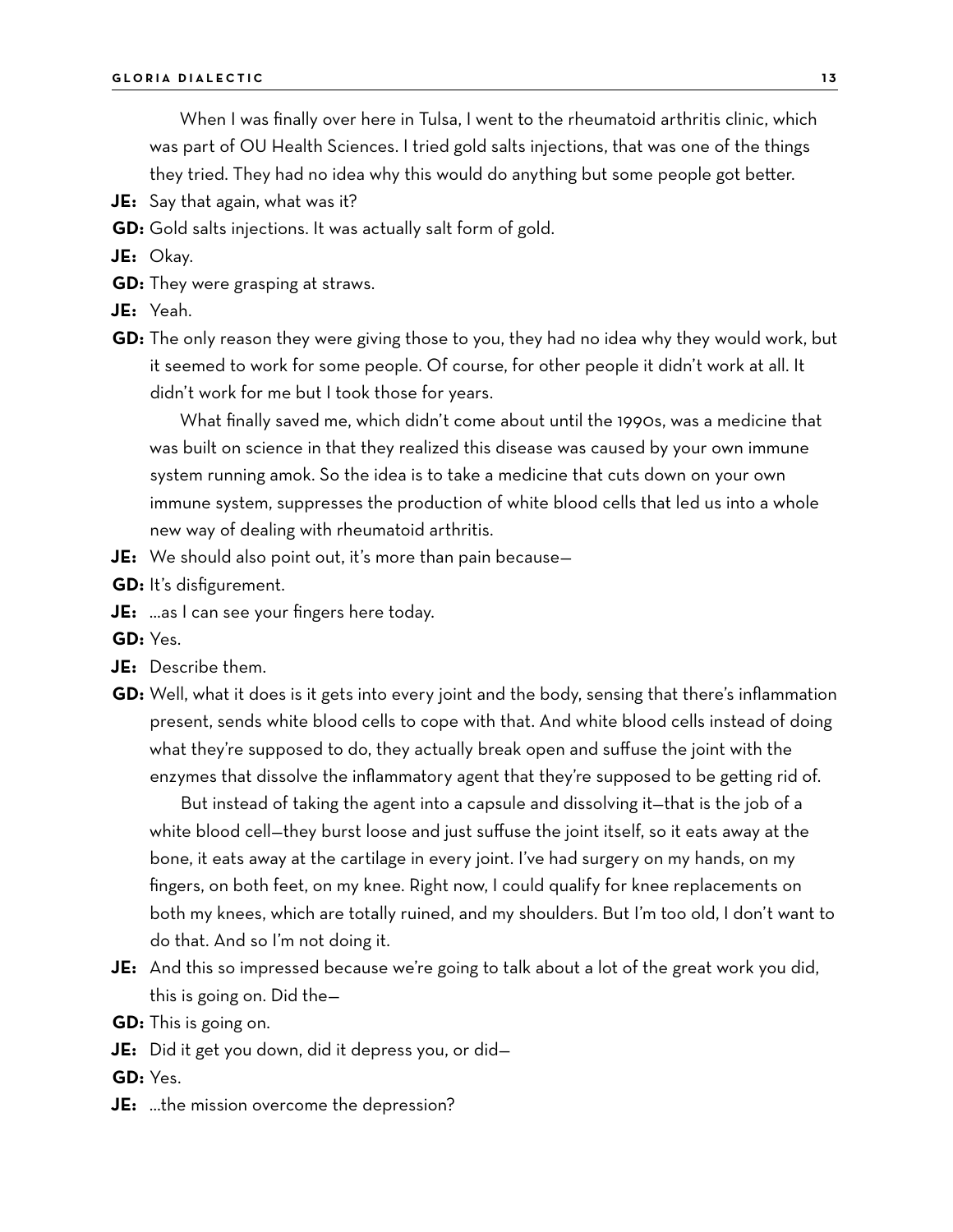When I was finally over here in Tulsa, I went to the rheumatoid arthritis clinic, which was part of OU Health Sciences. I tried gold salts injections, that was one of the things they tried. They had no idea why this would do anything but some people got better.

- **JE:** Say that again, what was it?
- **GD:** Gold salts injections. It was actually salt form of gold.
- **JE:** Okay.
- **GD:** They were grasping at straws.
- **JE:** Yeah.
- **GD:** The only reason they were giving those to you, they had no idea why they would work, but it seemed to work for some people. Of course, for other people it didn't work at all. It didn't work for me but I took those for years.

What finally saved me, which didn't come about until the 1990s, was a medicine that was built on science in that they realized this disease was caused by your own immune system running amok. So the idea is to take a medicine that cuts down on your own immune system, suppresses the production of white blood cells that led us into a whole new way of dealing with rheumatoid arthritis.

- **JE:** We should also point out, it's more than pain because—
- **GD:** It's disfigurement.
- **JE:** …as I can see your fingers here today.
- **GD:** Yes.
- **JE:** Describe them.
- **GD:** Well, what it does is it gets into every joint and the body, sensing that there's inflammation present, sends white blood cells to cope with that. And white blood cells instead of doing what they're supposed to do, they actually break open and suffuse the joint with the enzymes that dissolve the inflammatory agent that they're supposed to be getting rid of.

But instead of taking the agent into a capsule and dissolving it—that is the job of a white blood cell—they burst loose and just suffuse the joint itself, so it eats away at the bone, it eats away at the cartilage in every joint. I've had surgery on my hands, on my fingers, on both feet, on my knee. Right now, I could qualify for knee replacements on both my knees, which are totally ruined, and my shoulders. But I'm too old, I don't want to do that. And so I'm not doing it.

- **JE:** And this so impressed because we're going to talk about a lot of the great work you did, this is going on. Did the—
- **GD:** This is going on.
- **JE:** Did it get you down, did it depress you, or did—
- **GD:** Yes.
- **JE:** …the mission overcome the depression?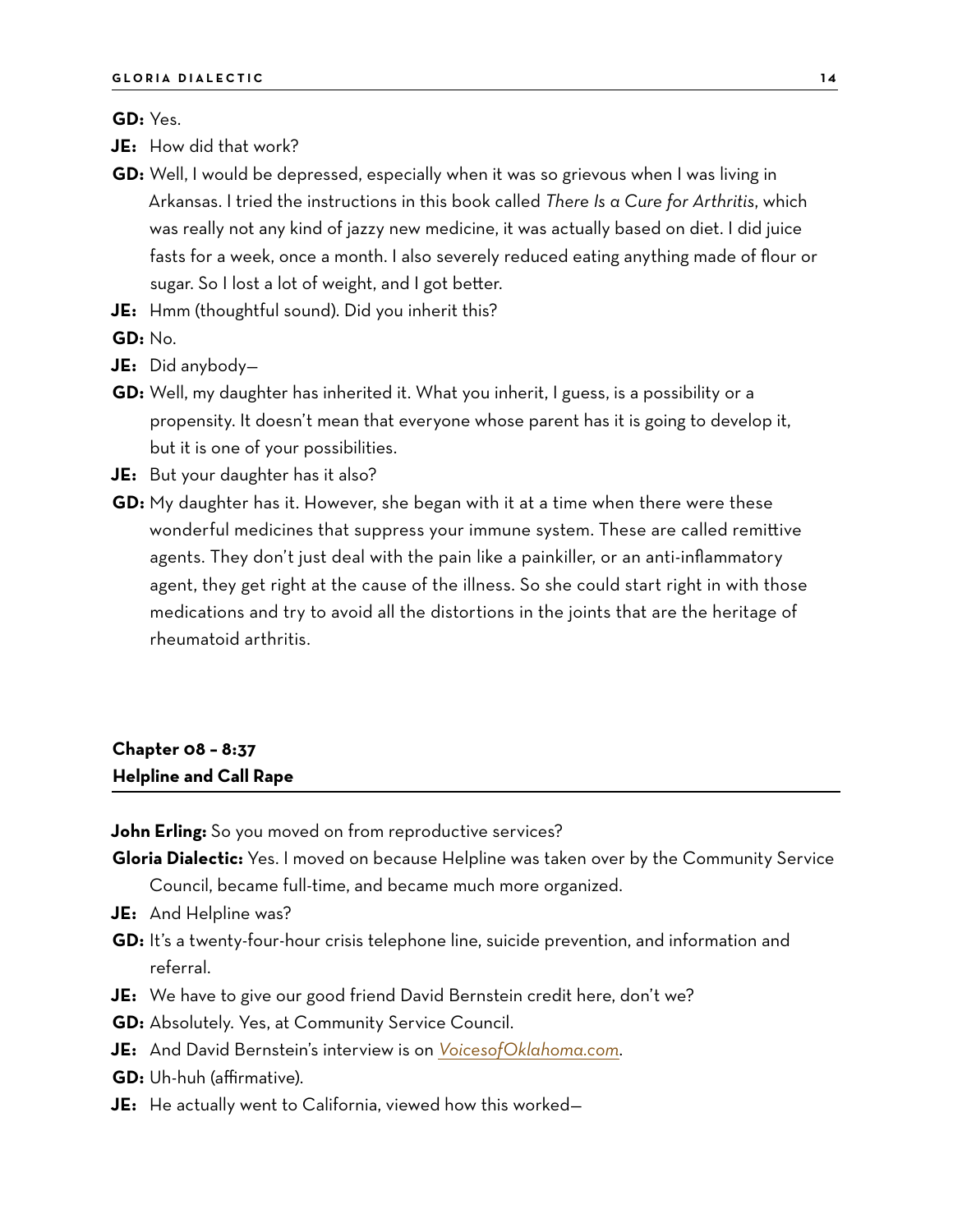#### **GD:** Yes.

- **JE:** How did that work?
- **GD:** Well, I would be depressed, especially when it was so grievous when I was living in Arkansas. I tried the instructions in this book called *There Is a Cure for Arthritis*, which was really not any kind of jazzy new medicine, it was actually based on diet. I did juice fasts for a week, once a month. I also severely reduced eating anything made of flour or sugar. So I lost a lot of weight, and I got better.
- **JE:** Hmm (thoughtful sound). Did you inherit this?

**GD:** No.

- **JE:** Did anybody—
- **GD:** Well, my daughter has inherited it. What you inherit, I guess, is a possibility or a propensity. It doesn't mean that everyone whose parent has it is going to develop it, but it is one of your possibilities.
- **JE:** But your daughter has it also?
- **GD:** My daughter has it. However, she began with it at a time when there were these wonderful medicines that suppress your immune system. These are called remittive agents. They don't just deal with the pain like a painkiller, or an anti-inflammatory agent, they get right at the cause of the illness. So she could start right in with those medications and try to avoid all the distortions in the joints that are the heritage of rheumatoid arthritis.

### **Chapter 08 – 8:37 Helpline and Call Rape**

**John Erling:** So you moved on from reproductive services?

- **Gloria Dialectic:** Yes. I moved on because Helpline was taken over by the Community Service Council, became full-time, and became much more organized.
- **JE:** And Helpline was?
- **GD:** It's a twenty-four-hour crisis telephone line, suicide prevention, and information and referral.
- **JE:** We have to give our good friend David Bernstein credit here, don't we?
- **GD:** Absolutely. Yes, at Community Service Council.
- **JE:** And David Bernstein's interview is on *[VoicesofOklahoma.com](http://www.voicesofoklahoma.com)*.
- **GD:** Uh-huh (affirmative).
- **JE:** He actually went to California, viewed how this worked—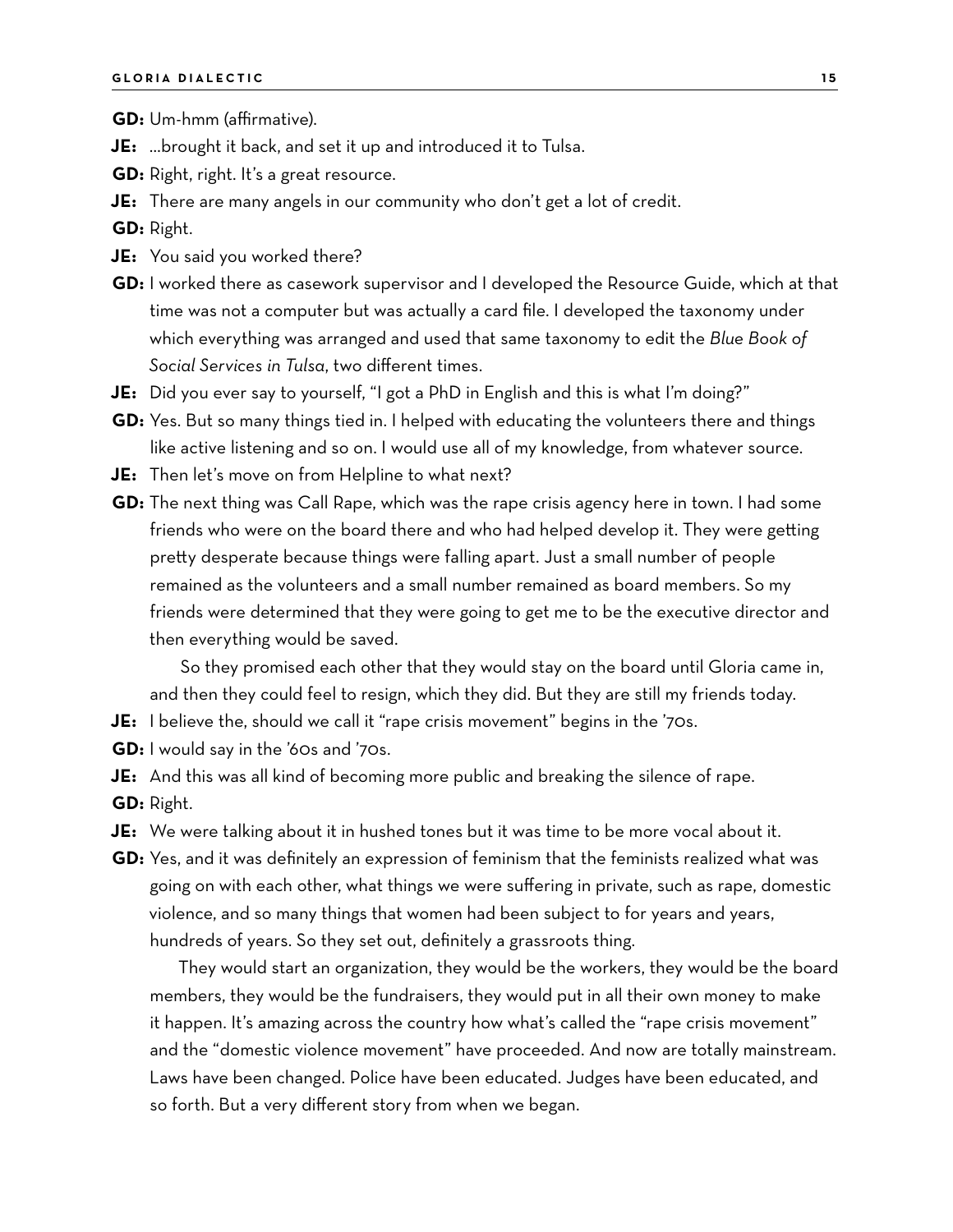**GD:** Um-hmm (affirmative).

- **JE:** …brought it back, and set it up and introduced it to Tulsa.
- **GD:** Right, right. It's a great resource.
- **JE:** There are many angels in our community who don't get a lot of credit.

**GD:** Right.

- **JE:** You said you worked there?
- **GD:** I worked there as casework supervisor and I developed the Resource Guide, which at that time was not a computer but was actually a card file. I developed the taxonomy under which everything was arranged and used that same taxonomy to edit the *Blue Book of Social Services in Tulsa*, two different times.
- **JE:** Did you ever say to yourself, "I got a PhD in English and this is what I'm doing?"
- **GD:** Yes. But so many things tied in. I helped with educating the volunteers there and things like active listening and so on. I would use all of my knowledge, from whatever source.
- **JE:** Then let's move on from Helpline to what next?
- **GD:** The next thing was Call Rape, which was the rape crisis agency here in town. I had some friends who were on the board there and who had helped develop it. They were getting pretty desperate because things were falling apart. Just a small number of people remained as the volunteers and a small number remained as board members. So my friends were determined that they were going to get me to be the executive director and then everything would be saved.

So they promised each other that they would stay on the board until Gloria came in, and then they could feel to resign, which they did. But they are still my friends today.

- **JE:** I believe the, should we call it "rape crisis movement" begins in the '70s.
- **GD:** I would say in the '60s and '70s.

**JE:** And this was all kind of becoming more public and breaking the silence of rape. **GD:** Right.

- **JE:** We were talking about it in hushed tones but it was time to be more vocal about it.
- **GD:** Yes, and it was definitely an expression of feminism that the feminists realized what was going on with each other, what things we were suffering in private, such as rape, domestic violence, and so many things that women had been subject to for years and years, hundreds of years. So they set out, definitely a grassroots thing.

They would start an organization, they would be the workers, they would be the board members, they would be the fundraisers, they would put in all their own money to make it happen. It's amazing across the country how what's called the "rape crisis movement" and the "domestic violence movement" have proceeded. And now are totally mainstream. Laws have been changed. Police have been educated. Judges have been educated, and so forth. But a very different story from when we began.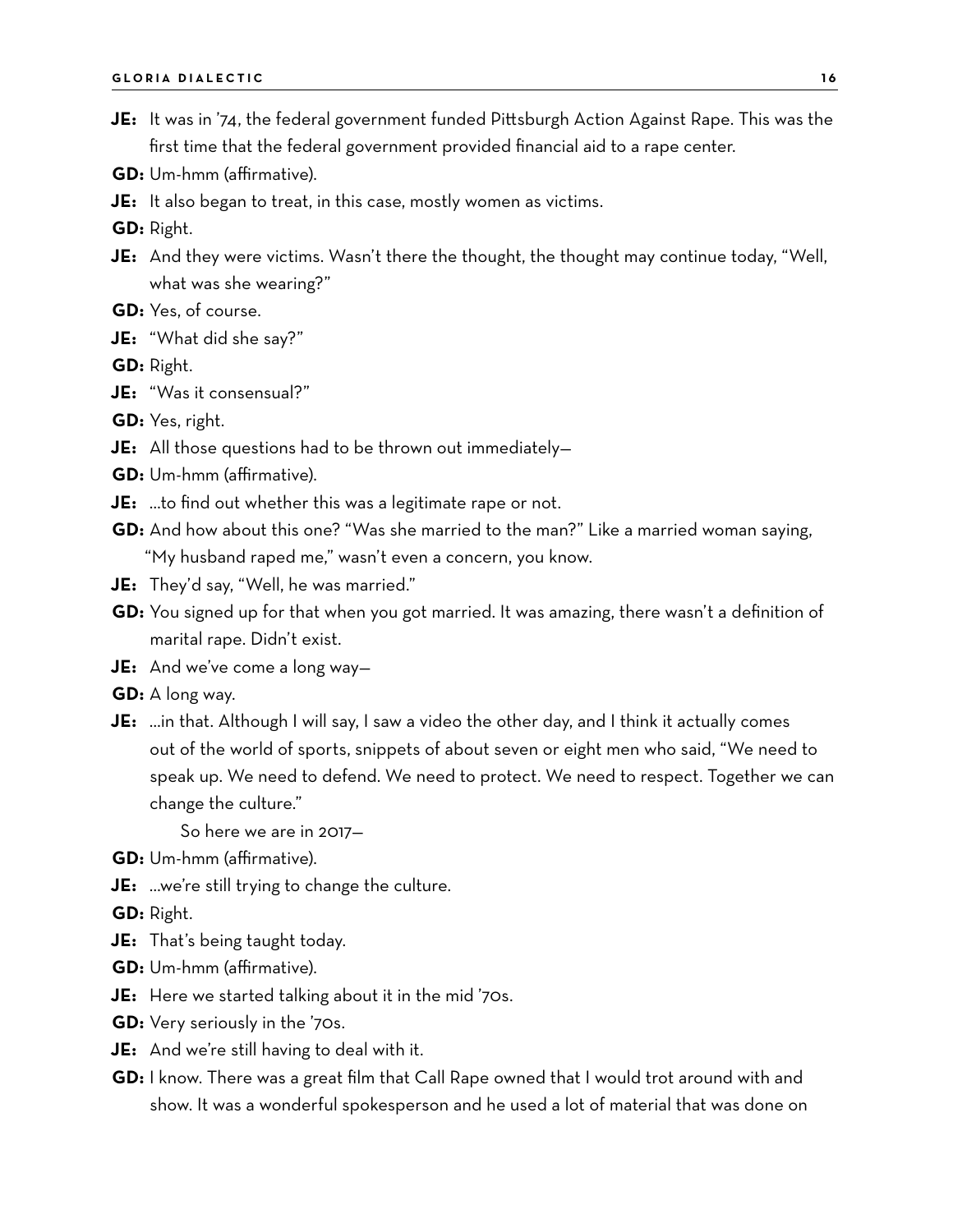- **JE:** It was in '74, the federal government funded Pittsburgh Action Against Rape. This was the first time that the federal government provided financial aid to a rape center.
- **GD:** Um-hmm (affirmative).
- **JE:** It also began to treat, in this case, mostly women as victims.

**GD:** Right.

- **JE:** And they were victims. Wasn't there the thought, the thought may continue today, "Well, what was she wearing?"
- **GD:** Yes, of course.
- **JE:** "What did she say?"
- **GD:** Right.
- **JE:** "Was it consensual?"
- **GD:** Yes, right.
- **JE:** All those questions had to be thrown out immediately—
- **GD:** Um-hmm (affirmative).
- **JE:** …to find out whether this was a legitimate rape or not.
- **GD:** And how about this one? "Was she married to the man?" Like a married woman saying, "My husband raped me," wasn't even a concern, you know.
- **JE:** They'd say, "Well, he was married."
- **GD:** You signed up for that when you got married. It was amazing, there wasn't a definition of marital rape. Didn't exist.
- **JE:** And we've come a long way—
- **GD:** A long way.
- **JE:** …in that. Although I will say, I saw a video the other day, and I think it actually comes out of the world of sports, snippets of about seven or eight men who said, "We need to speak up. We need to defend. We need to protect. We need to respect. Together we can change the culture."

So here we are in 2017—

- **GD:** Um-hmm (affirmative).
- **JE:** …we're still trying to change the culture.

**GD:** Right.

- **JE:** That's being taught today.
- **GD:** Um-hmm (affirmative).
- **JE:** Here we started talking about it in the mid '70s.
- **GD:** Very seriously in the '70s.
- **JE:** And we're still having to deal with it.
- **GD:** I know. There was a great film that Call Rape owned that I would trot around with and show. It was a wonderful spokesperson and he used a lot of material that was done on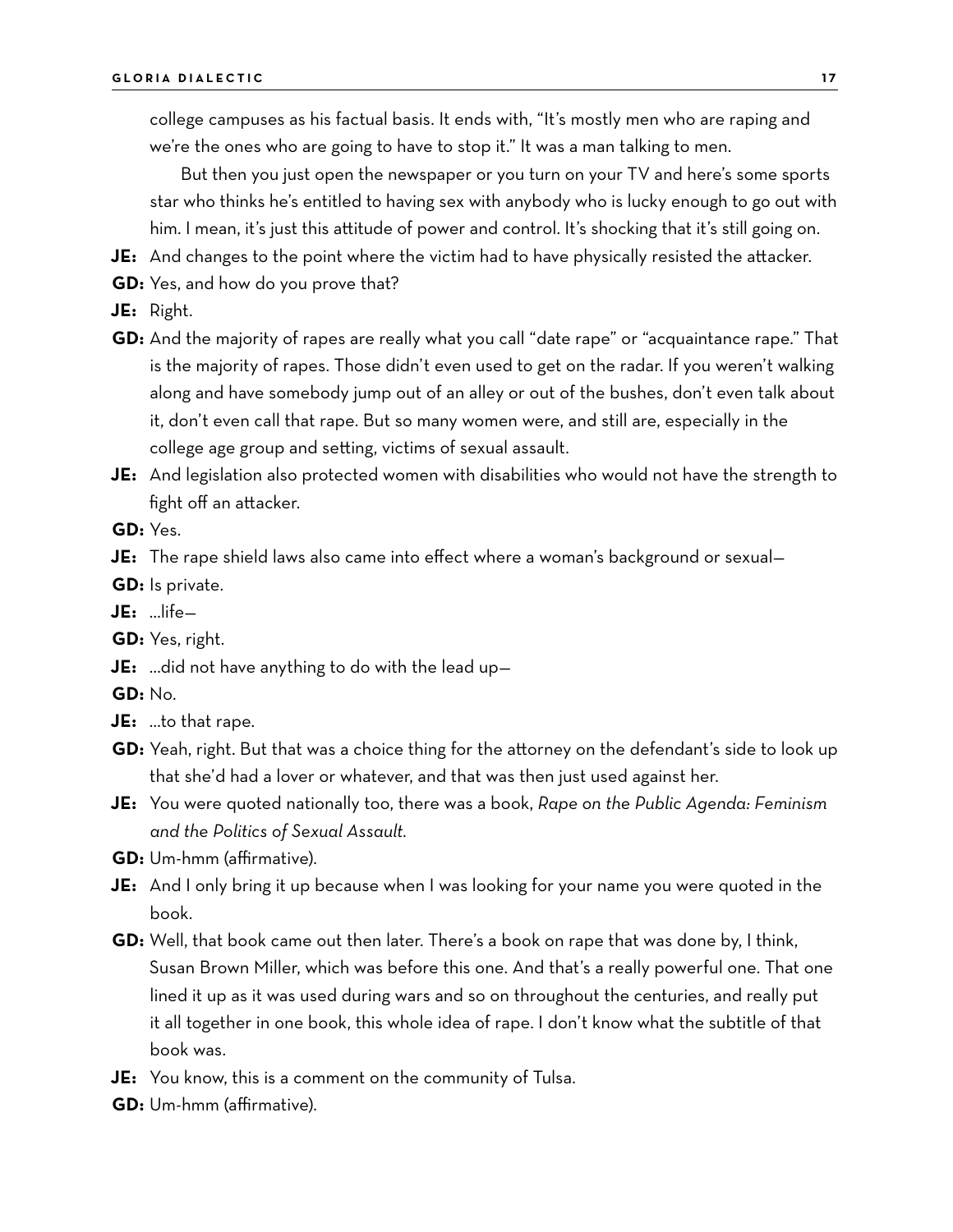college campuses as his factual basis. It ends with, "It's mostly men who are raping and we're the ones who are going to have to stop it." It was a man talking to men.

But then you just open the newspaper or you turn on your TV and here's some sports star who thinks he's entitled to having sex with anybody who is lucky enough to go out with him. I mean, it's just this attitude of power and control. It's shocking that it's still going on.

- **JE:** And changes to the point where the victim had to have physically resisted the attacker.
- **GD:** Yes, and how do you prove that?
- **JE:** Right.
- **GD:** And the majority of rapes are really what you call "date rape" or "acquaintance rape." That is the majority of rapes. Those didn't even used to get on the radar. If you weren't walking along and have somebody jump out of an alley or out of the bushes, don't even talk about it, don't even call that rape. But so many women were, and still are, especially in the college age group and setting, victims of sexual assault.
- **JE:** And legislation also protected women with disabilities who would not have the strength to fight off an attacker.
- **GD:** Yes.

**JE:** The rape shield laws also came into effect where a woman's background or sexual—

- **GD:** Is private.
- **JE:** …life—

**GD:** Yes, right.

- **JE:** …did not have anything to do with the lead up—
- **GD:** No.
- **JE:** …to that rape.
- **GD:** Yeah, right. But that was a choice thing for the attorney on the defendant's side to look up that she'd had a lover or whatever, and that was then just used against her.
- **JE:** You were quoted nationally too, there was a book, *Rape on the Public Agenda: Feminism and the Politics of Sexual Assault.*

**GD:** Um-hmm (affirmative).

- **JE:** And I only bring it up because when I was looking for your name you were quoted in the book.
- **GD:** Well, that book came out then later. There's a book on rape that was done by, I think, Susan Brown Miller, which was before this one. And that's a really powerful one. That one lined it up as it was used during wars and so on throughout the centuries, and really put it all together in one book, this whole idea of rape. I don't know what the subtitle of that book was.
- **JE:** You know, this is a comment on the community of Tulsa.
- **GD:** Um-hmm (affirmative).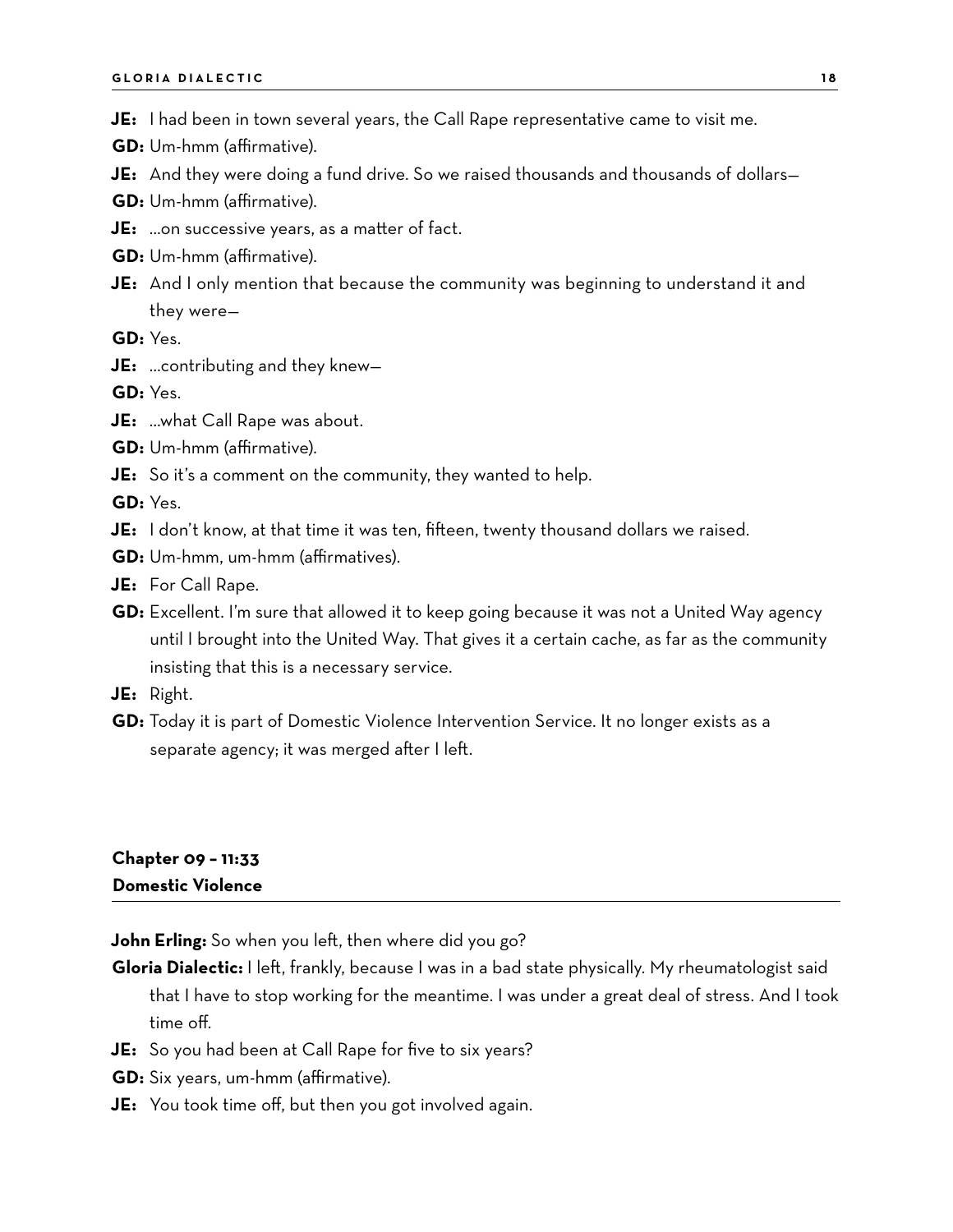- **JE:** I had been in town several years, the Call Rape representative came to visit me.
- **GD:** Um-hmm (affirmative).
- **JE:** And they were doing a fund drive. So we raised thousands and thousands of dollars—
- **GD:** Um-hmm (affirmative).
- **JE:** …on successive years, as a matter of fact.
- **GD:** Um-hmm (affirmative).
- **JE:** And I only mention that because the community was beginning to understand it and they were—
- **GD:** Yes.
- **JE:** …contributing and they knew—

**GD:** Yes.

- **JE:** …what Call Rape was about.
- **GD:** Um-hmm (affirmative).
- **JE:** So it's a comment on the community, they wanted to help.

**GD:** Yes.

- **JE:** I don't know, at that time it was ten, fifteen, twenty thousand dollars we raised.
- **GD:** Um-hmm, um-hmm (affirmatives).
- **JE:** For Call Rape.
- **GD:** Excellent. I'm sure that allowed it to keep going because it was not a United Way agency until I brought into the United Way. That gives it a certain cache, as far as the community insisting that this is a necessary service.
- **JE:** Right.
- **GD:** Today it is part of Domestic Violence Intervention Service. It no longer exists as a separate agency; it was merged after I left.

#### **Chapter 09 – 11:33 Domestic Violence**

**John Erling:** So when you left, then where did you go?

- **Gloria Dialectic:** I left, frankly, because I was in a bad state physically. My rheumatologist said that I have to stop working for the meantime. I was under a great deal of stress. And I took time off.
- **JE:** So you had been at Call Rape for five to six years?
- **GD:** Six years, um-hmm (affirmative).
- **JE:** You took time off, but then you got involved again.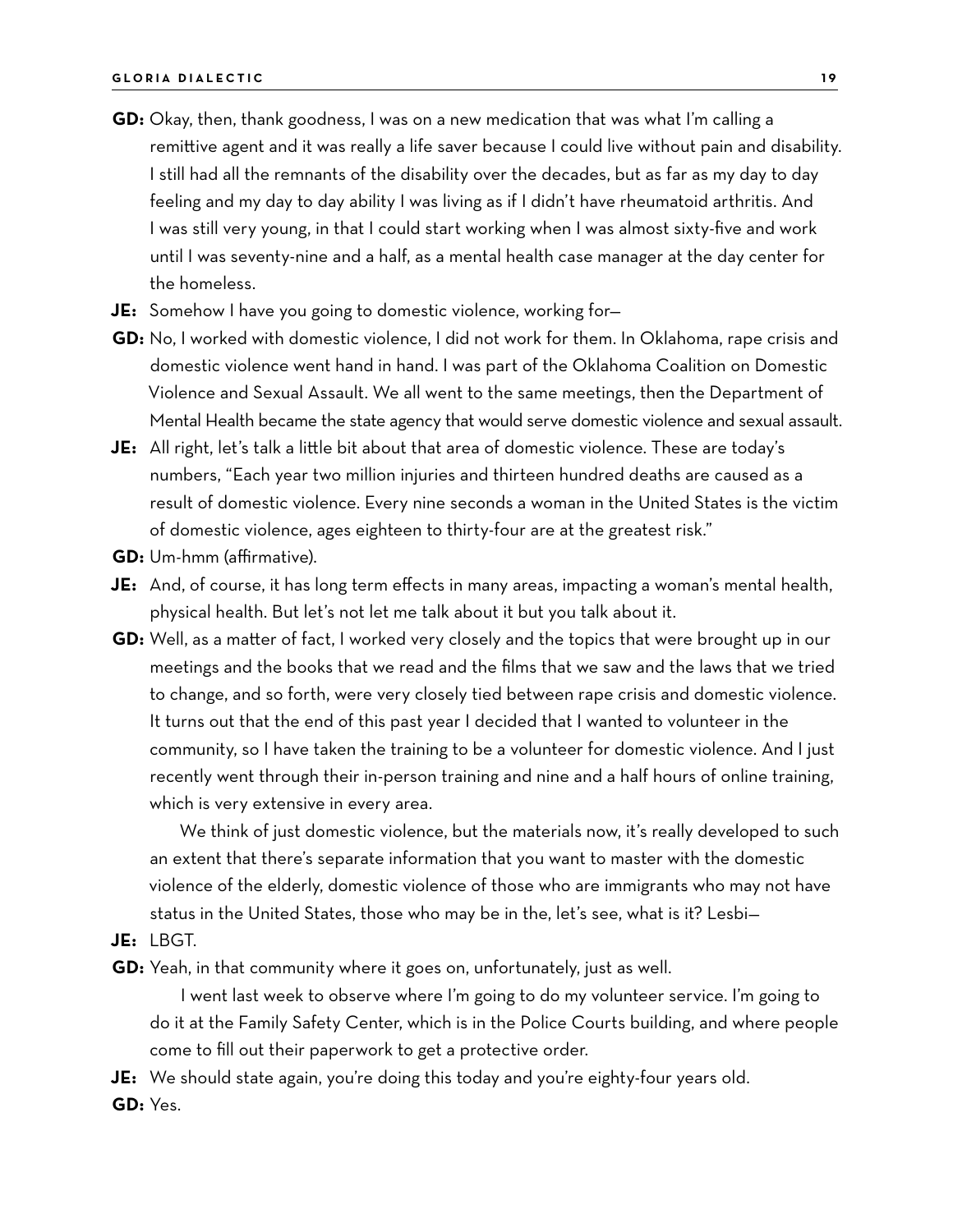- **GD:** Okay, then, thank goodness, I was on a new medication that was what I'm calling a remittive agent and it was really a life saver because I could live without pain and disability. I still had all the remnants of the disability over the decades, but as far as my day to day feeling and my day to day ability I was living as if I didn't have rheumatoid arthritis. And I was still very young, in that I could start working when I was almost sixty-five and work until I was seventy-nine and a half, as a mental health case manager at the day center for the homeless.
- **JE:** Somehow I have you going to domestic violence, working for—
- **GD:** No, I worked with domestic violence, I did not work for them. In Oklahoma, rape crisis and domestic violence went hand in hand. I was part of the Oklahoma Coalition on Domestic Violence and Sexual Assault. We all went to the same meetings, then the Department of Mental Health became the state agency that would serve domestic violence and sexual assault.
- **JE:** All right, let's talk a little bit about that area of domestic violence. These are today's numbers, "Each year two million injuries and thirteen hundred deaths are caused as a result of domestic violence. Every nine seconds a woman in the United States is the victim of domestic violence, ages eighteen to thirty-four are at the greatest risk."
- **GD:** Um-hmm (affirmative).
- **JE:** And, of course, it has long term effects in many areas, impacting a woman's mental health, physical health. But let's not let me talk about it but you talk about it.
- **GD:** Well, as a matter of fact, I worked very closely and the topics that were brought up in our meetings and the books that we read and the films that we saw and the laws that we tried to change, and so forth, were very closely tied between rape crisis and domestic violence. It turns out that the end of this past year I decided that I wanted to volunteer in the community, so I have taken the training to be a volunteer for domestic violence. And I just recently went through their in-person training and nine and a half hours of online training, which is very extensive in every area.

We think of just domestic violence, but the materials now, it's really developed to such an extent that there's separate information that you want to master with the domestic violence of the elderly, domestic violence of those who are immigrants who may not have status in the United States, those who may be in the, let's see, what is it? Lesbi—

**JE:** LBGT.

**GD:** Yeah, in that community where it goes on, unfortunately, just as well.

I went last week to observe where I'm going to do my volunteer service. I'm going to do it at the Family Safety Center, which is in the Police Courts building, and where people come to fill out their paperwork to get a protective order.

- **JE:** We should state again, you're doing this today and you're eighty-four years old.
- **GD:** Yes.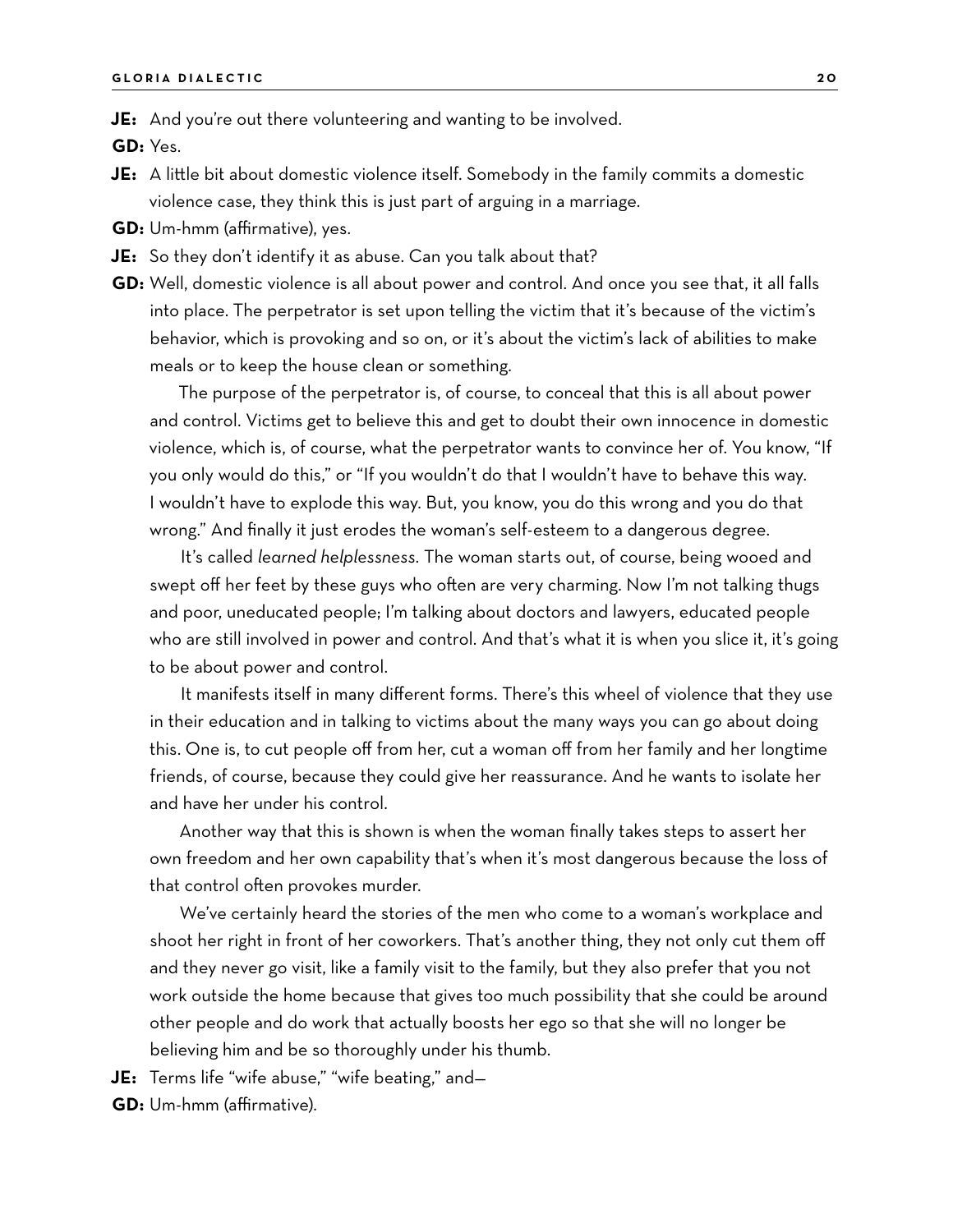**JE:** And you're out there volunteering and wanting to be involved.

**GD:** Yes.

- **JE:** A little bit about domestic violence itself. Somebody in the family commits a domestic violence case, they think this is just part of arguing in a marriage.
- **GD:** Um-hmm (affirmative), yes.
- **JE:** So they don't identify it as abuse. Can you talk about that?
- **GD:** Well, domestic violence is all about power and control. And once you see that, it all falls into place. The perpetrator is set upon telling the victim that it's because of the victim's behavior, which is provoking and so on, or it's about the victim's lack of abilities to make meals or to keep the house clean or something.

The purpose of the perpetrator is, of course, to conceal that this is all about power and control. Victims get to believe this and get to doubt their own innocence in domestic violence, which is, of course, what the perpetrator wants to convince her of. You know, "If you only would do this," or "If you wouldn't do that I wouldn't have to behave this way. I wouldn't have to explode this way. But, you know, you do this wrong and you do that wrong." And finally it just erodes the woman's self-esteem to a dangerous degree.

It's called *learned helplessness.* The woman starts out, of course, being wooed and swept off her feet by these guys who often are very charming. Now I'm not talking thugs and poor, uneducated people; I'm talking about doctors and lawyers, educated people who are still involved in power and control. And that's what it is when you slice it, it's going to be about power and control.

It manifests itself in many different forms. There's this wheel of violence that they use in their education and in talking to victims about the many ways you can go about doing this. One is, to cut people off from her, cut a woman off from her family and her longtime friends, of course, because they could give her reassurance. And he wants to isolate her and have her under his control.

Another way that this is shown is when the woman finally takes steps to assert her own freedom and her own capability that's when it's most dangerous because the loss of that control often provokes murder.

We've certainly heard the stories of the men who come to a woman's workplace and shoot her right in front of her coworkers. That's another thing, they not only cut them off and they never go visit, like a family visit to the family, but they also prefer that you not work outside the home because that gives too much possibility that she could be around other people and do work that actually boosts her ego so that she will no longer be believing him and be so thoroughly under his thumb.

**JE:** Terms life "wife abuse," "wife beating," and—

**GD:** Um-hmm (affirmative).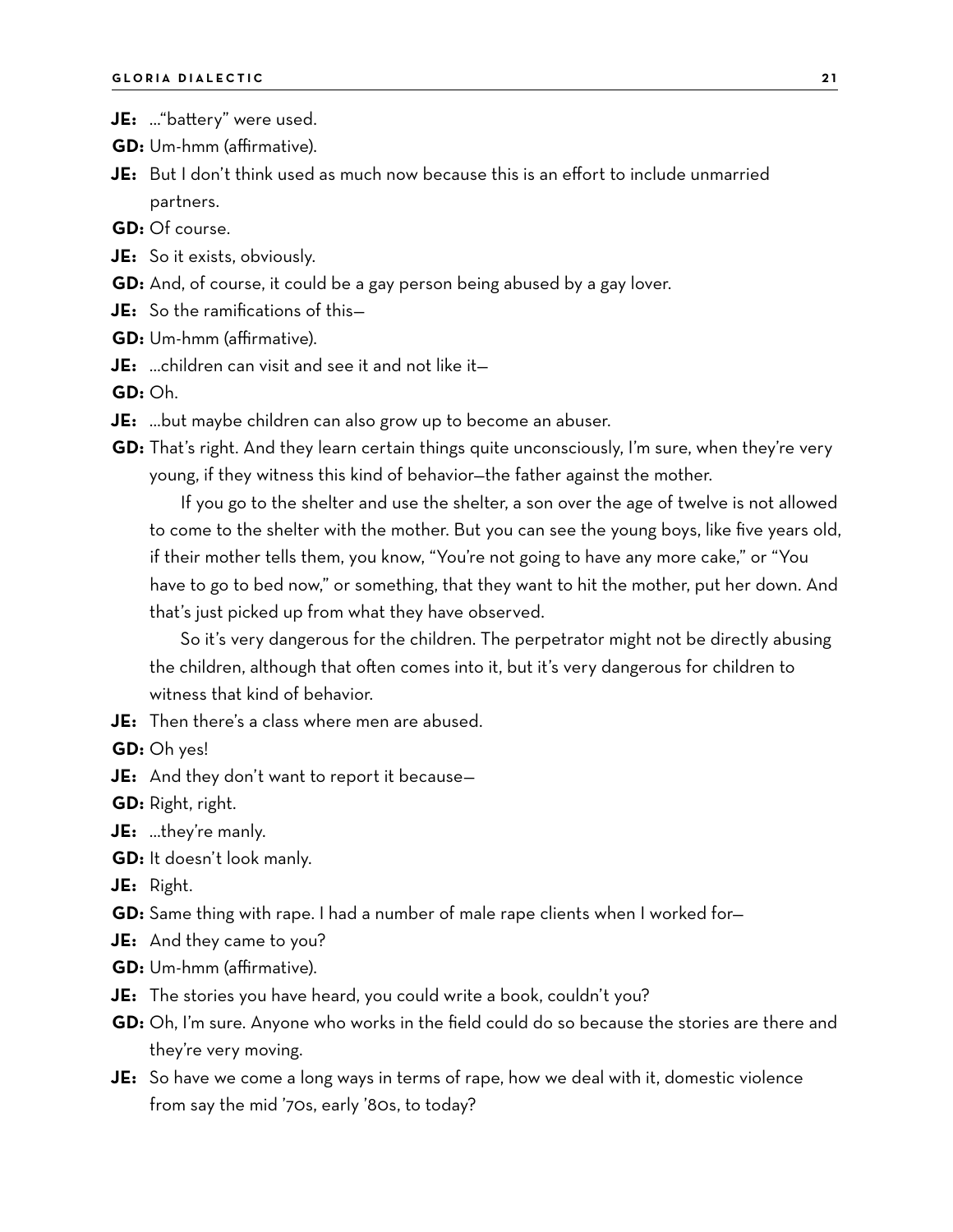- **JE:** …"battery" were used.
- **GD:** Um-hmm (affirmative).
- **JE:** But I don't think used as much now because this is an effort to include unmarried partners.
- **GD:** Of course.
- **JE:** So it exists, obviously.
- **GD:** And, of course, it could be a gay person being abused by a gay lover.
- **JE:** So the ramifications of this—
- **GD:** Um-hmm (affirmative).
- **JE:** …children can visit and see it and not like it—

**GD:** Oh.

- **JE:** …but maybe children can also grow up to become an abuser.
- **GD:** That's right. And they learn certain things quite unconsciously, I'm sure, when they're very young, if they witness this kind of behavior—the father against the mother.

If you go to the shelter and use the shelter, a son over the age of twelve is not allowed to come to the shelter with the mother. But you can see the young boys, like five years old, if their mother tells them, you know, "You're not going to have any more cake," or "You have to go to bed now," or something, that they want to hit the mother, put her down. And that's just picked up from what they have observed.

So it's very dangerous for the children. The perpetrator might not be directly abusing the children, although that often comes into it, but it's very dangerous for children to witness that kind of behavior.

**JE:** Then there's a class where men are abused.

**GD:** Oh yes!

**JE:** And they don't want to report it because—

**GD:** Right, right.

- **JE:** …they're manly.
- **GD:** It doesn't look manly.
- **JE:** Right.
- **GD:** Same thing with rape. I had a number of male rape clients when I worked for—
- **JE:** And they came to you?
- **GD:** Um-hmm (affirmative).
- **JE:** The stories you have heard, you could write a book, couldn't you?
- **GD:** Oh, I'm sure. Anyone who works in the field could do so because the stories are there and they're very moving.
- **JE:** So have we come a long ways in terms of rape, how we deal with it, domestic violence from say the mid '70s, early '80s, to today?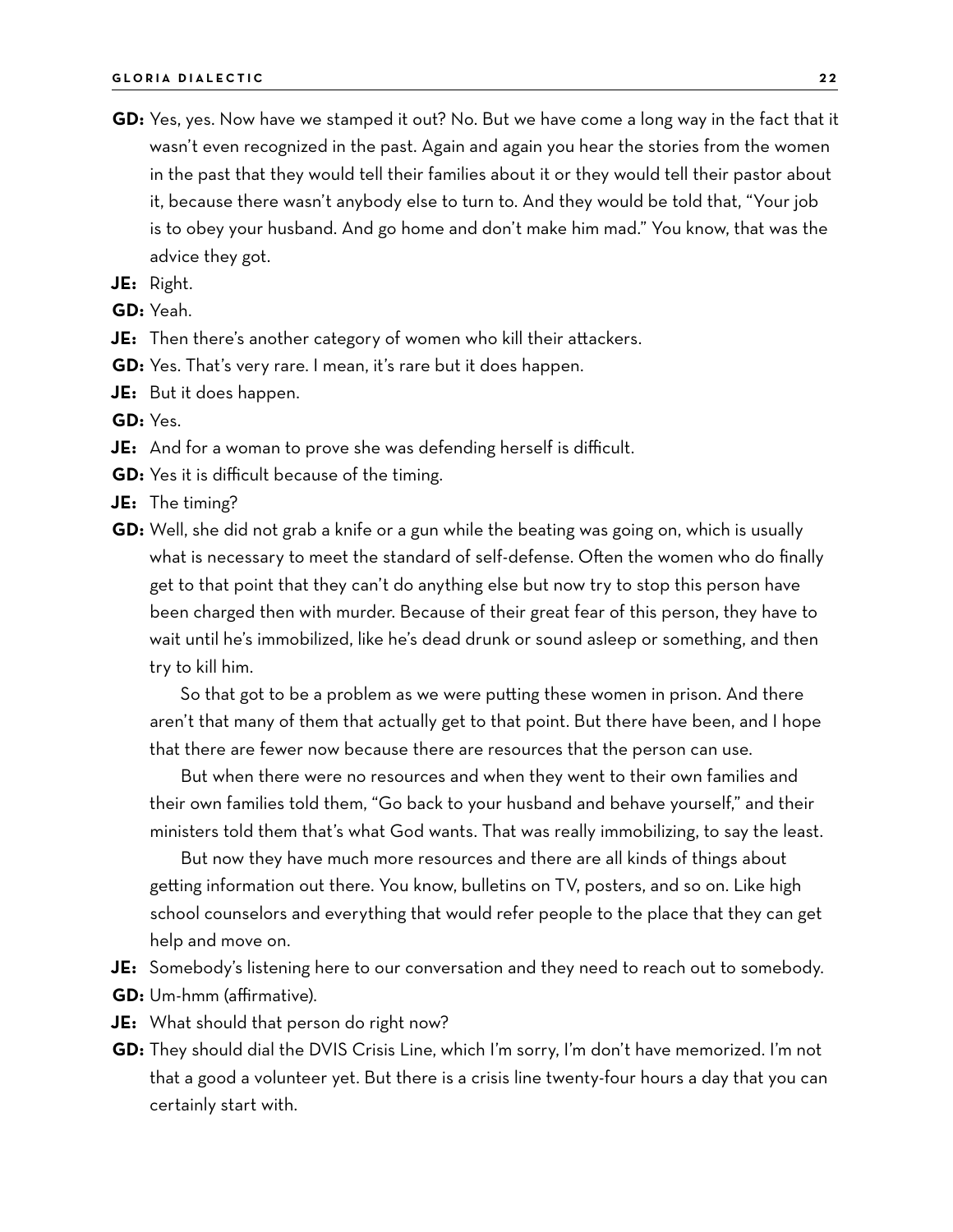**GD:** Yes, yes. Now have we stamped it out? No. But we have come a long way in the fact that it wasn't even recognized in the past. Again and again you hear the stories from the women in the past that they would tell their families about it or they would tell their pastor about it, because there wasn't anybody else to turn to. And they would be told that, "Your job is to obey your husband. And go home and don't make him mad." You know, that was the advice they got.

**JE:** Right.

**GD:** Yeah.

**JE:** Then there's another category of women who kill their attackers.

**GD:** Yes. That's very rare. I mean, it's rare but it does happen.

**JE:** But it does happen.

**GD:** Yes.

- **JE:** And for a woman to prove she was defending herself is difficult.
- **GD:** Yes it is difficult because of the timing.
- **JE:** The timing?
- **GD:** Well, she did not grab a knife or a gun while the beating was going on, which is usually what is necessary to meet the standard of self-defense. Often the women who do finally get to that point that they can't do anything else but now try to stop this person have been charged then with murder. Because of their great fear of this person, they have to wait until he's immobilized, like he's dead drunk or sound asleep or something, and then try to kill him.

So that got to be a problem as we were putting these women in prison. And there aren't that many of them that actually get to that point. But there have been, and I hope that there are fewer now because there are resources that the person can use.

But when there were no resources and when they went to their own families and their own families told them, "Go back to your husband and behave yourself," and their ministers told them that's what God wants. That was really immobilizing, to say the least.

But now they have much more resources and there are all kinds of things about getting information out there. You know, bulletins on TV, posters, and so on. Like high school counselors and everything that would refer people to the place that they can get help and move on.

- **JE:** Somebody's listening here to our conversation and they need to reach out to somebody. **GD:** Um-hmm (affirmative).
- **JE:** What should that person do right now?
- **GD:** They should dial the DVIS Crisis Line, which I'm sorry, I'm don't have memorized. I'm not that a good a volunteer yet. But there is a crisis line twenty-four hours a day that you can certainly start with.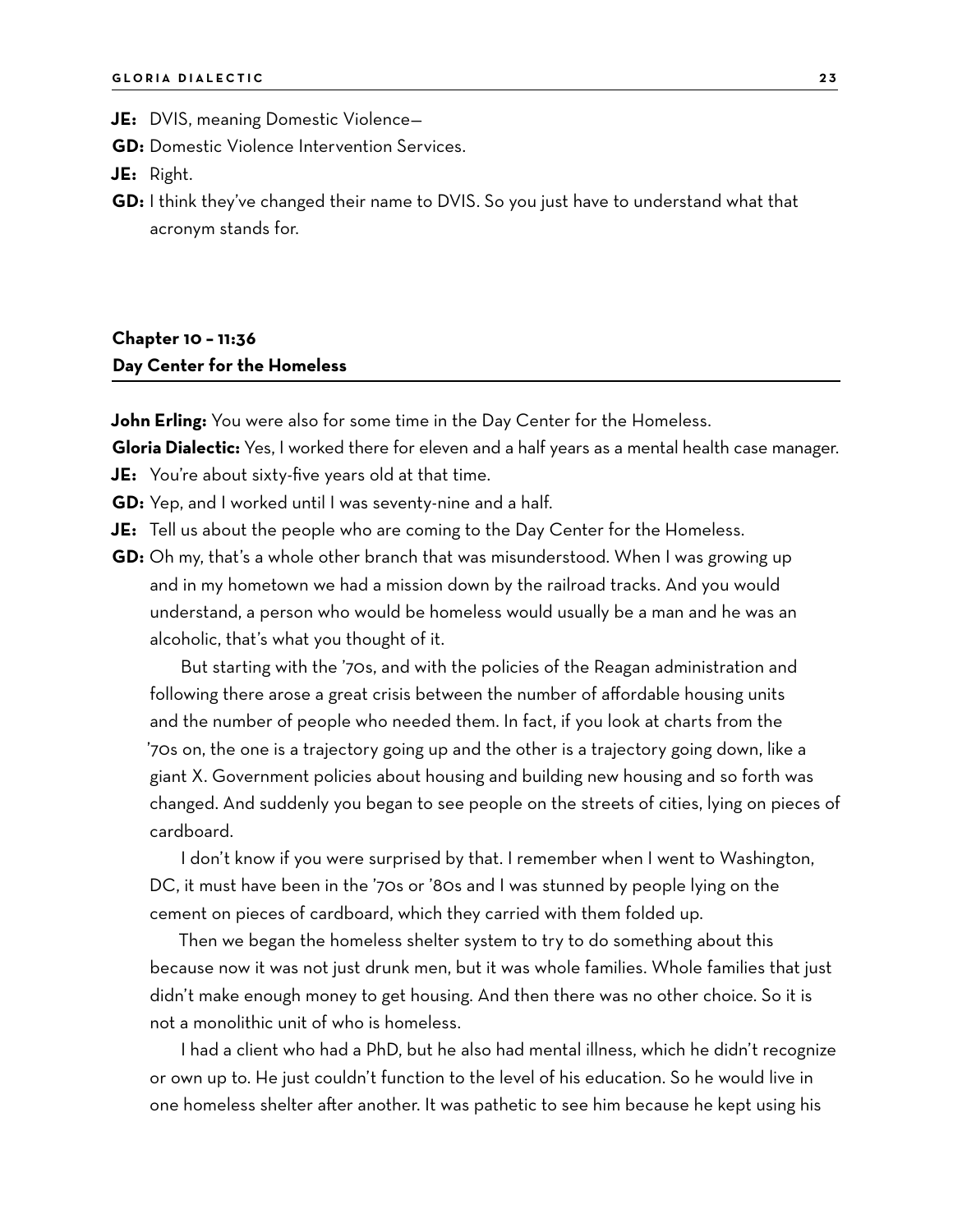**JE:** DVIS, meaning Domestic Violence—

**GD:** Domestic Violence Intervention Services.

**JE:** Right.

**GD:** I think they've changed their name to DVIS. So you just have to understand what that acronym stands for.

#### **Chapter 10 – 11:36 Day Center for the Homeless**

**John Erling:** You were also for some time in the Day Center for the Homeless.

**Gloria Dialectic:** Yes, I worked there for eleven and a half years as a mental health case manager.

**JE:** You're about sixty-five years old at that time.

**GD:** Yep, and I worked until I was seventy-nine and a half.

**JE:** Tell us about the people who are coming to the Day Center for the Homeless.

**GD:** Oh my, that's a whole other branch that was misunderstood. When I was growing up and in my hometown we had a mission down by the railroad tracks. And you would understand, a person who would be homeless would usually be a man and he was an alcoholic, that's what you thought of it.

But starting with the '70s, and with the policies of the Reagan administration and following there arose a great crisis between the number of affordable housing units and the number of people who needed them. In fact, if you look at charts from the '70s on, the one is a trajectory going up and the other is a trajectory going down, like a giant X. Government policies about housing and building new housing and so forth was changed. And suddenly you began to see people on the streets of cities, lying on pieces of cardboard.

I don't know if you were surprised by that. I remember when I went to Washington, DC, it must have been in the '70s or '80s and I was stunned by people lying on the cement on pieces of cardboard, which they carried with them folded up.

Then we began the homeless shelter system to try to do something about this because now it was not just drunk men, but it was whole families. Whole families that just didn't make enough money to get housing. And then there was no other choice. So it is not a monolithic unit of who is homeless.

I had a client who had a PhD, but he also had mental illness, which he didn't recognize or own up to. He just couldn't function to the level of his education. So he would live in one homeless shelter after another. It was pathetic to see him because he kept using his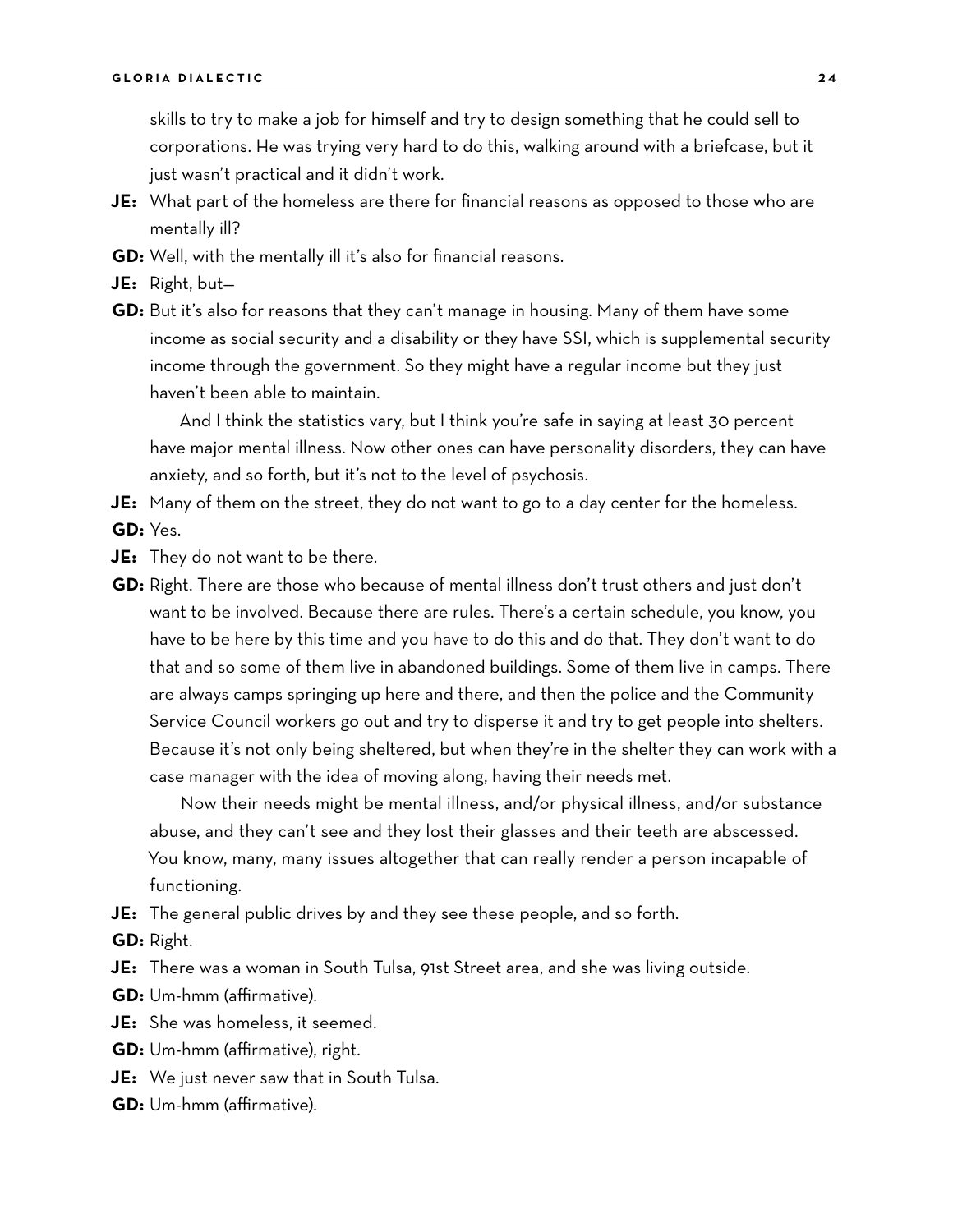skills to try to make a job for himself and try to design something that he could sell to corporations. He was trying very hard to do this, walking around with a briefcase, but it just wasn't practical and it didn't work.

- **JE:** What part of the homeless are there for financial reasons as opposed to those who are mentally ill?
- **GD:** Well, with the mentally ill it's also for financial reasons.
- **JE:** Right, but—
- **GD:** But it's also for reasons that they can't manage in housing. Many of them have some income as social security and a disability or they have SSI, which is supplemental security income through the government. So they might have a regular income but they just haven't been able to maintain.

And I think the statistics vary, but I think you're safe in saying at least 30 percent have major mental illness. Now other ones can have personality disorders, they can have anxiety, and so forth, but it's not to the level of psychosis.

**JE:** Many of them on the street, they do not want to go to a day center for the homeless. **GD:** Yes.

**JE:** They do not want to be there.

**GD:** Right. There are those who because of mental illness don't trust others and just don't want to be involved. Because there are rules. There's a certain schedule, you know, you have to be here by this time and you have to do this and do that. They don't want to do that and so some of them live in abandoned buildings. Some of them live in camps. There are always camps springing up here and there, and then the police and the Community Service Council workers go out and try to disperse it and try to get people into shelters. Because it's not only being sheltered, but when they're in the shelter they can work with a case manager with the idea of moving along, having their needs met.

Now their needs might be mental illness, and/or physical illness, and/or substance abuse, and they can't see and they lost their glasses and their teeth are abscessed. You know, many, many issues altogether that can really render a person incapable of functioning.

**JE:** The general public drives by and they see these people, and so forth.

**GD:** Right.

**JE:** There was a woman in South Tulsa, 91st Street area, and she was living outside.

**GD:** Um-hmm (affirmative).

**JE:** She was homeless, it seemed.

- **GD:** Um-hmm (affirmative), right.
- **JE:** We just never saw that in South Tulsa.
- **GD:** Um-hmm (affirmative).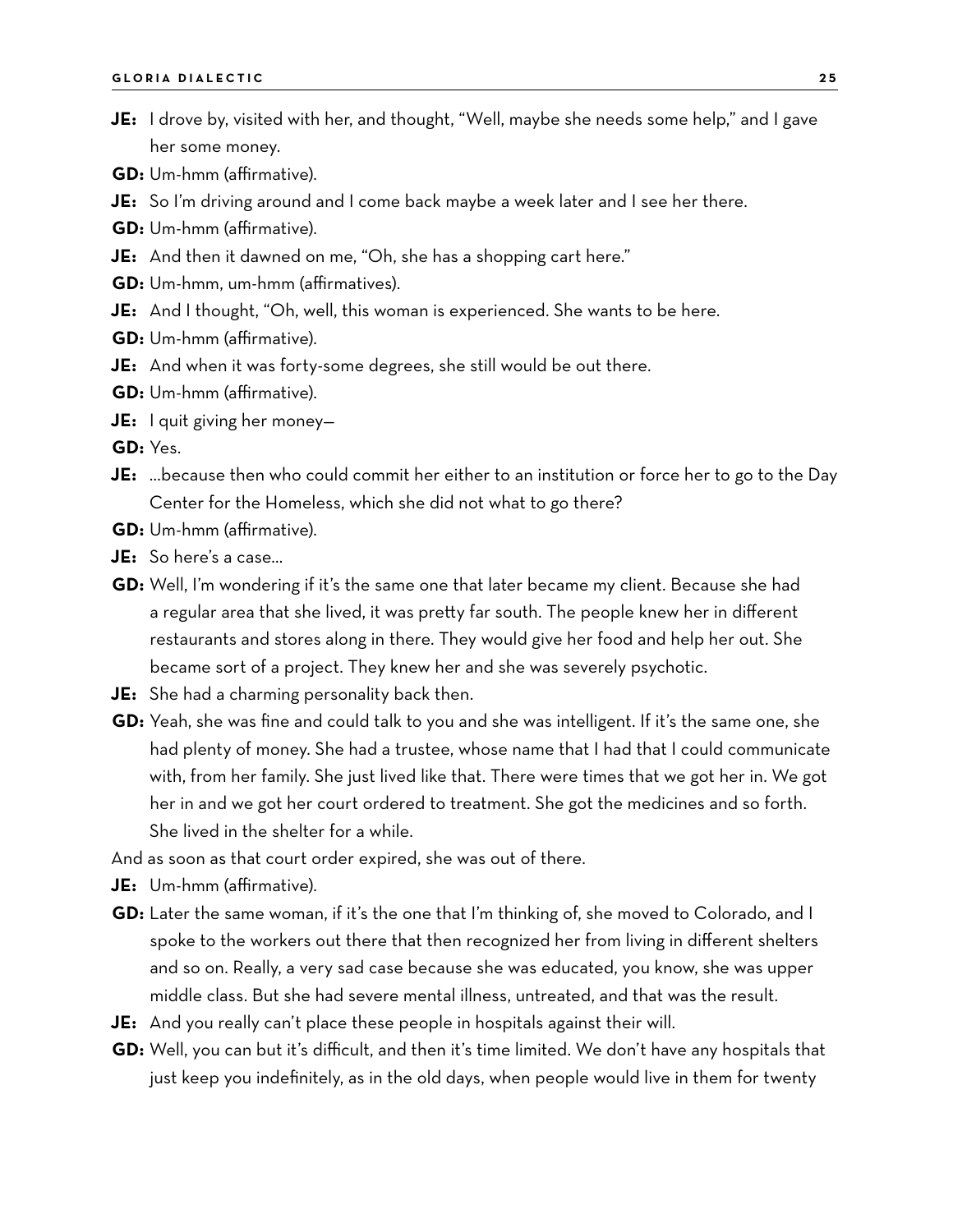- **JE:** I drove by, visited with her, and thought, "Well, maybe she needs some help," and I gave her some money.
- **GD:** Um-hmm (affirmative).
- **JE:** So I'm driving around and I come back maybe a week later and I see her there.
- **GD:** Um-hmm (affirmative).
- **JE:** And then it dawned on me, "Oh, she has a shopping cart here."
- **GD:** Um-hmm, um-hmm (affirmatives).
- **JE:** And I thought, "Oh, well, this woman is experienced. She wants to be here.
- **GD:** Um-hmm (affirmative).
- **JE:** And when it was forty-some degrees, she still would be out there.
- **GD:** Um-hmm (affirmative).
- **JE:** I quit giving her money—

**GD:** Yes.

- **JE:** …because then who could commit her either to an institution or force her to go to the Day Center for the Homeless, which she did not what to go there?
- **GD:** Um-hmm (affirmative).
- **JE:** So here's a case…
- **GD:** Well, I'm wondering if it's the same one that later became my client. Because she had a regular area that she lived, it was pretty far south. The people knew her in different restaurants and stores along in there. They would give her food and help her out. She became sort of a project. They knew her and she was severely psychotic.
- **JE:** She had a charming personality back then.
- **GD:** Yeah, she was fine and could talk to you and she was intelligent. If it's the same one, she had plenty of money. She had a trustee, whose name that I had that I could communicate with, from her family. She just lived like that. There were times that we got her in. We got her in and we got her court ordered to treatment. She got the medicines and so forth. She lived in the shelter for a while.
- And as soon as that court order expired, she was out of there.
- **JE:** Um-hmm (affirmative).
- **GD:** Later the same woman, if it's the one that I'm thinking of, she moved to Colorado, and I spoke to the workers out there that then recognized her from living in different shelters and so on. Really, a very sad case because she was educated, you know, she was upper middle class. But she had severe mental illness, untreated, and that was the result.
- **JE:** And you really can't place these people in hospitals against their will.
- **GD:** Well, you can but it's difficult, and then it's time limited. We don't have any hospitals that just keep you indefinitely, as in the old days, when people would live in them for twenty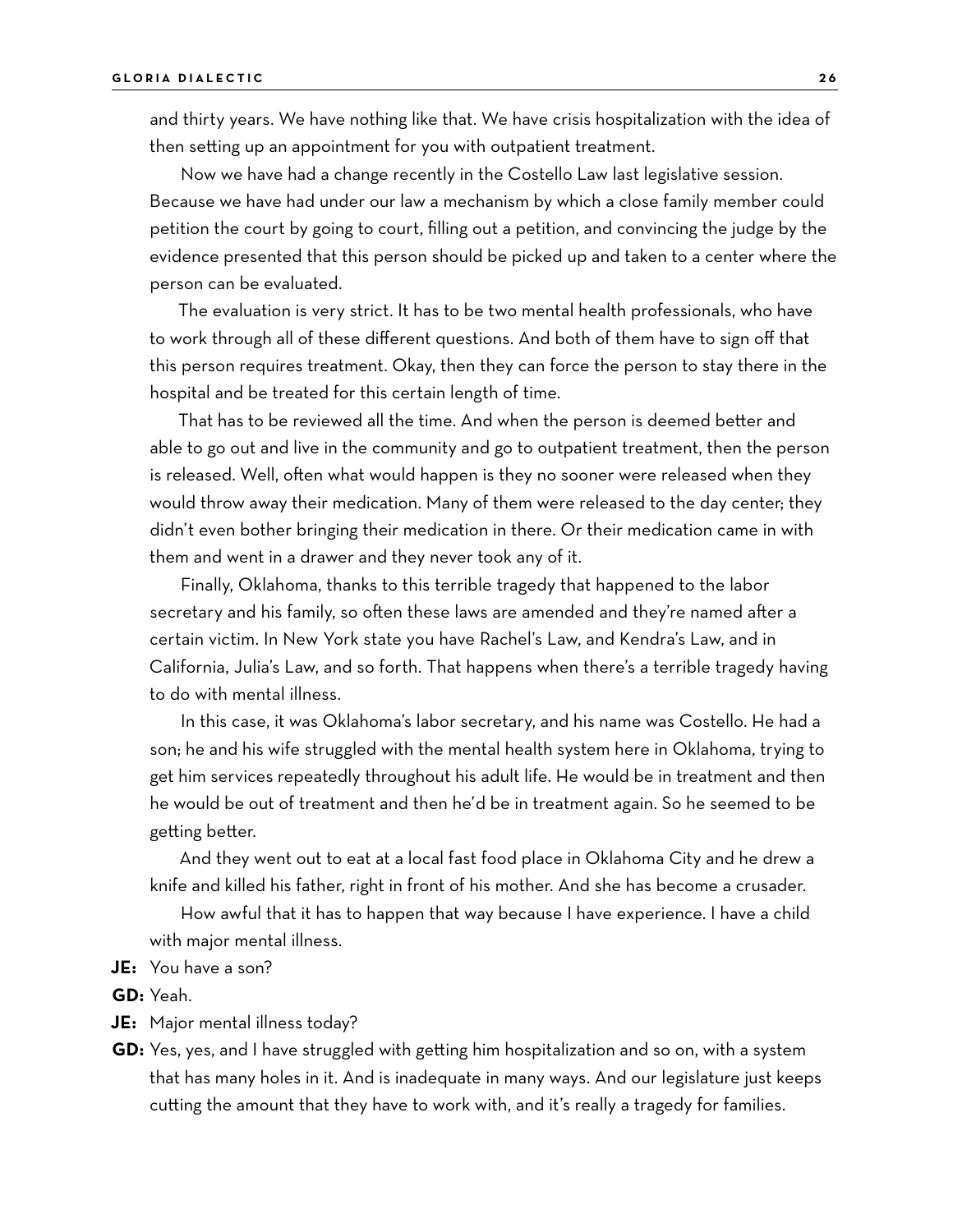and thirty years. We have nothing like that. We have crisis hospitalization with the idea of then setting up an appointment for you with outpatient treatment.

Now we have had a change recently in the Costello Law last legislative session. Because we have had under our law a mechanism by which a close family member could petition the court by going to court, filling out a petition, and convincing the judge by the evidence presented that this person should be picked up and taken to a center where the person can be evaluated.

The evaluation is very strict. It has to be two mental health professionals, who have to work through all of these different questions. And both of them have to sign off that this person requires treatment. Okay, then they can force the person to stay there in the hospital and be treated for this certain length of time.

That has to be reviewed all the time. And when the person is deemed better and able to go out and live in the community and go to outpatient treatment, then the person is released. Well, often what would happen is they no sooner were released when they would throw away their medication. Many of them were released to the day center; they didn't even bother bringing their medication in there. Or their medication came in with them and went in a drawer and they never took any of it.

Finally, Oklahoma, thanks to this terrible tragedy that happened to the labor secretary and his family, so often these laws are amended and they're named after a certain victim. In New York state you have Rachel's Law, and Kendra's Law, and in California, Julia's Law, and so forth. That happens when there's a terrible tragedy having to do with mental illness.

In this case, it was Oklahoma's labor secretary, and his name was Costello. He had a son; he and his wife struggled with the mental health system here in Oklahoma, trying to get him services repeatedly throughout his adult life. He would be in treatment and then he would be out of treatment and then he'd be in treatment again. So he seemed to be getting better.

And they went out to eat at a local fast food place in Oklahoma City and he drew a knife and killed his father, right in front of his mother. And she has become a crusader.

How awful that it has to happen that way because I have experience. I have a child with major mental illness.

#### **JE:** You have a son?

**GD:** Yeah.

**JE:** Major mental illness today?

**GD:** Yes, yes, and I have struggled with getting him hospitalization and so on, with a system that has many holes in it. And is inadequate in many ways. And our legislature just keeps cutting the amount that they have to work with, and it's really a tragedy for families.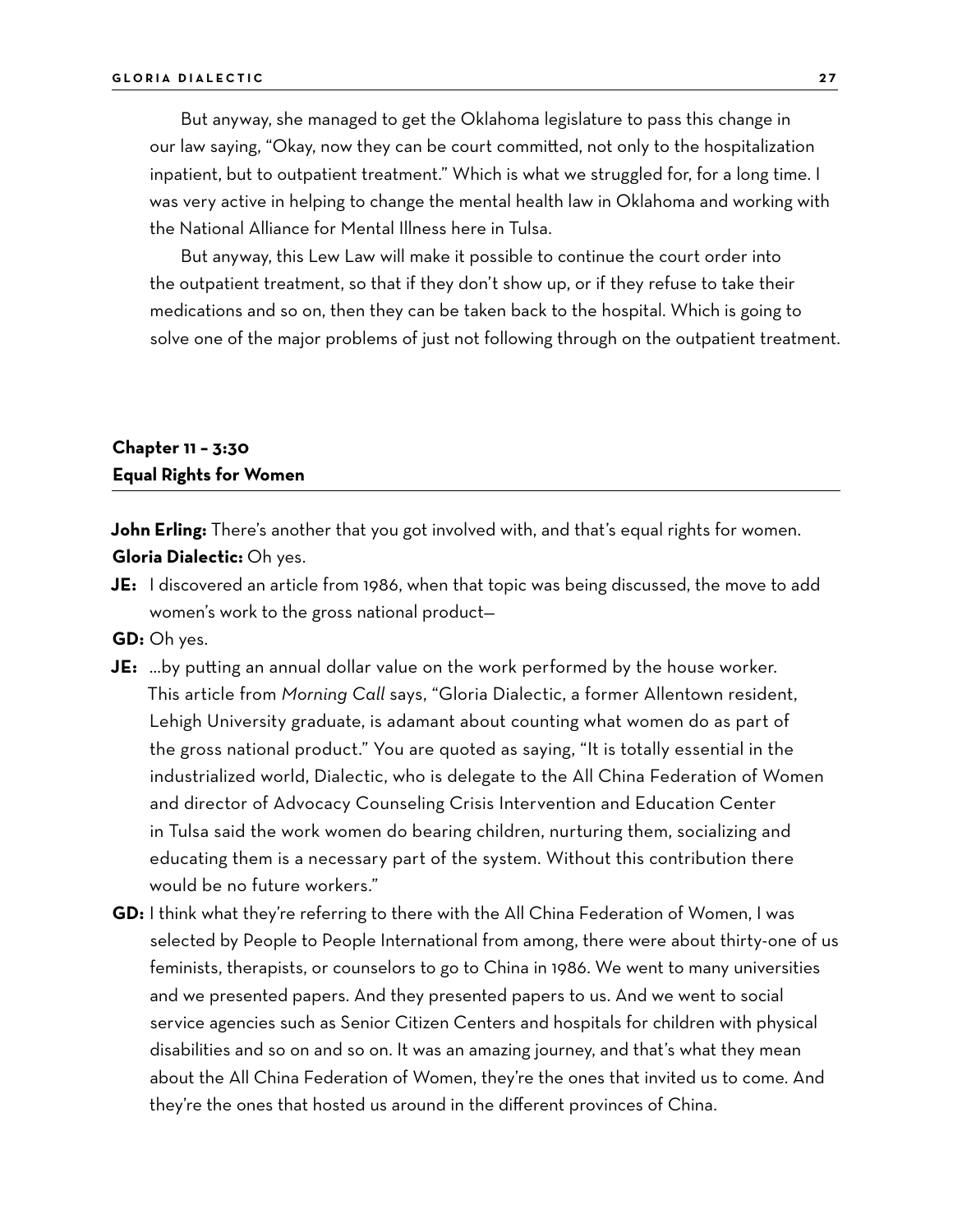But anyway, she managed to get the Oklahoma legislature to pass this change in our law saying, "Okay, now they can be court committed, not only to the hospitalization inpatient, but to outpatient treatment." Which is what we struggled for, for a long time. I was very active in helping to change the mental health law in Oklahoma and working with the National Alliance for Mental Illness here in Tulsa.

But anyway, this Lew Law will make it possible to continue the court order into the outpatient treatment, so that if they don't show up, or if they refuse to take their medications and so on, then they can be taken back to the hospital. Which is going to solve one of the major problems of just not following through on the outpatient treatment.

### **Chapter 11 – 3:30 Equal Rights for Women**

John Erling: There's another that you got involved with, and that's equal rights for women. **Gloria Dialectic:** Oh yes.

**JE:** I discovered an article from 1986, when that topic was being discussed, the move to add women's work to the gross national product—

**GD:** Oh yes.

- **JE:** …by putting an annual dollar value on the work performed by the house worker. This article from *Morning Call* says, "Gloria Dialectic, a former Allentown resident, Lehigh University graduate, is adamant about counting what women do as part of the gross national product." You are quoted as saying, "It is totally essential in the industrialized world, Dialectic, who is delegate to the All China Federation of Women and director of Advocacy Counseling Crisis Intervention and Education Center in Tulsa said the work women do bearing children, nurturing them, socializing and educating them is a necessary part of the system. Without this contribution there would be no future workers."
- **GD:** I think what they're referring to there with the All China Federation of Women, I was selected by People to People International from among, there were about thirty-one of us feminists, therapists, or counselors to go to China in 1986. We went to many universities and we presented papers. And they presented papers to us. And we went to social service agencies such as Senior Citizen Centers and hospitals for children with physical disabilities and so on and so on. It was an amazing journey, and that's what they mean about the All China Federation of Women, they're the ones that invited us to come. And they're the ones that hosted us around in the different provinces of China.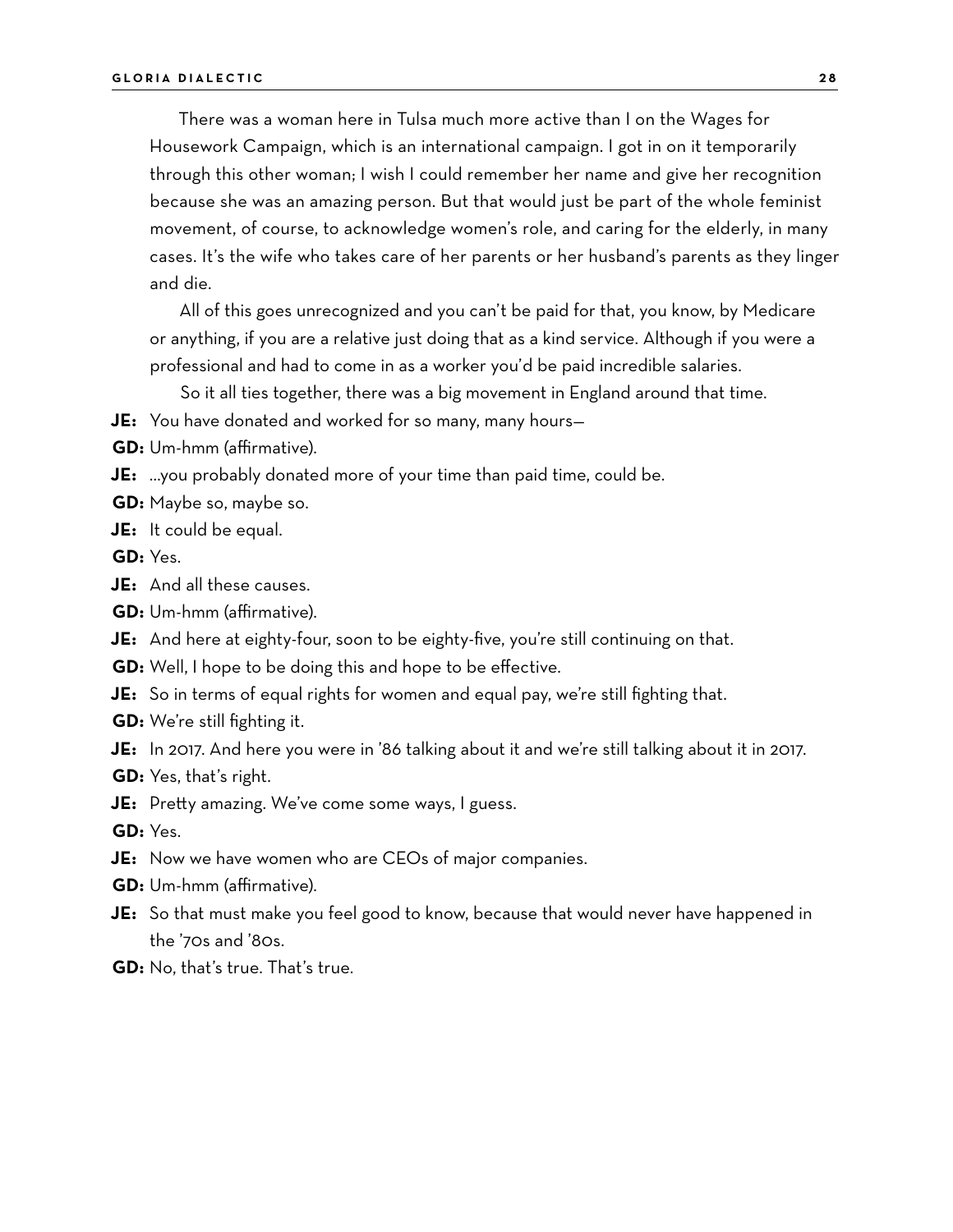There was a woman here in Tulsa much more active than I on the Wages for Housework Campaign, which is an international campaign. I got in on it temporarily through this other woman; I wish I could remember her name and give her recognition because she was an amazing person. But that would just be part of the whole feminist movement, of course, to acknowledge women's role, and caring for the elderly, in many cases. It's the wife who takes care of her parents or her husband's parents as they linger and die.

All of this goes unrecognized and you can't be paid for that, you know, by Medicare or anything, if you are a relative just doing that as a kind service. Although if you were a professional and had to come in as a worker you'd be paid incredible salaries.

So it all ties together, there was a big movement in England around that time.

**JE:** You have donated and worked for so many, many hours—

**GD:** Um-hmm (affirmative).

**JE:** …you probably donated more of your time than paid time, could be.

- **GD:** Maybe so, maybe so.
- **JE:** It could be equal.

**GD:** Yes.

- **JE:** And all these causes.
- **GD:** Um-hmm (affirmative).
- **JE:** And here at eighty-four, soon to be eighty-five, you're still continuing on that.
- **GD:** Well, I hope to be doing this and hope to be effective.
- **JE:** So in terms of equal rights for women and equal pay, we're still fighting that.
- **GD:** We're still fighting it.
- **JE:** In 2017. And here you were in '86 talking about it and we're still talking about it in 2017.
- **GD:** Yes, that's right.
- **JE:** Pretty amazing. We've come some ways, I guess.

**GD:** Yes.

- **JE:** Now we have women who are CEOs of major companies.
- **GD:** Um-hmm (affirmative).
- **JE:** So that must make you feel good to know, because that would never have happened in the '70s and '80s.
- **GD:** No, that's true. That's true.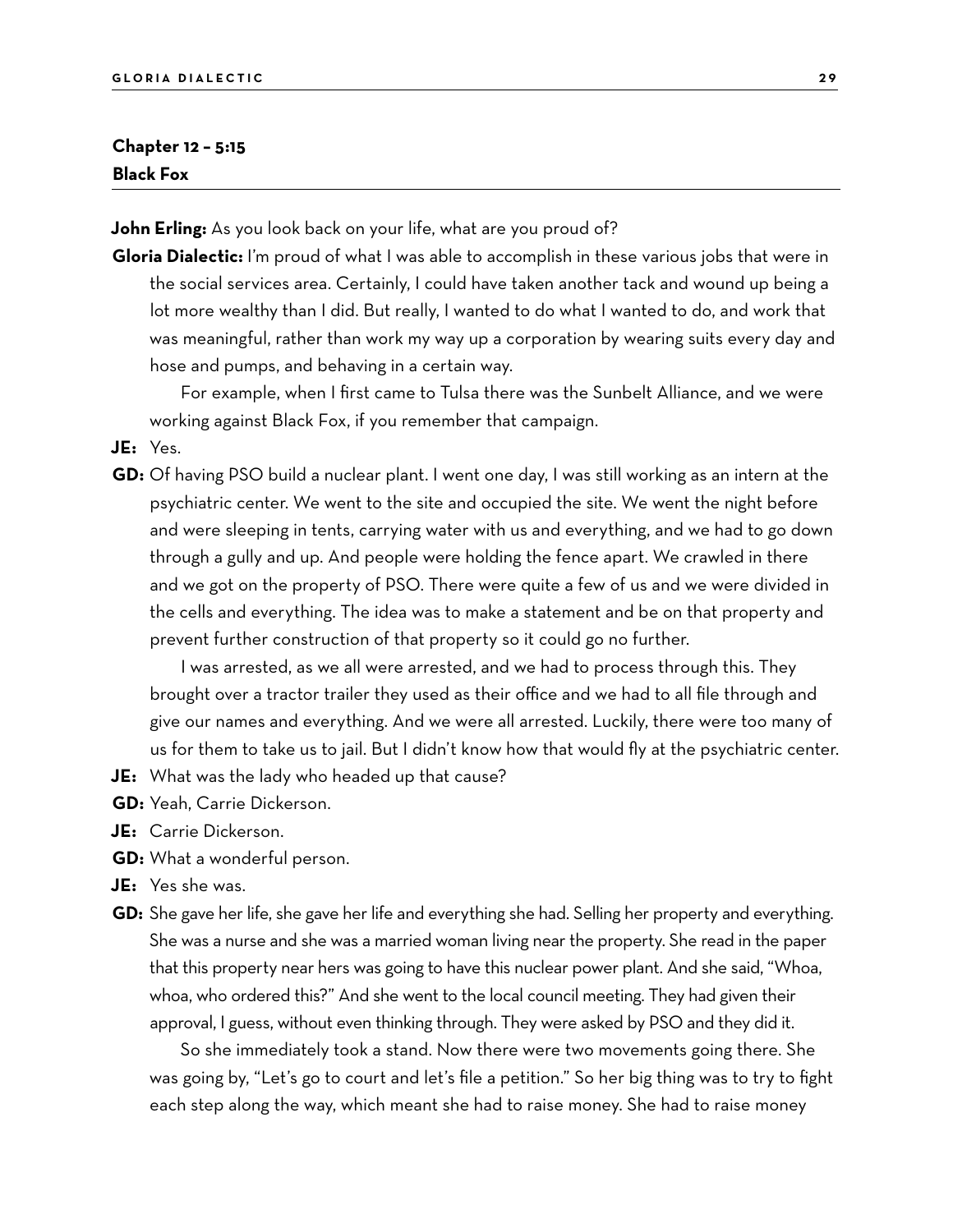#### **Chapter 12 – 5:15 Black Fox**

**John Erling:** As you look back on your life, what are you proud of?

**Gloria Dialectic:** I'm proud of what I was able to accomplish in these various jobs that were in the social services area. Certainly, I could have taken another tack and wound up being a lot more wealthy than I did. But really, I wanted to do what I wanted to do, and work that was meaningful, rather than work my way up a corporation by wearing suits every day and hose and pumps, and behaving in a certain way.

For example, when I first came to Tulsa there was the Sunbelt Alliance, and we were working against Black Fox, if you remember that campaign.

**JE:** Yes.

**GD:** Of having PSO build a nuclear plant. I went one day, I was still working as an intern at the psychiatric center. We went to the site and occupied the site. We went the night before and were sleeping in tents, carrying water with us and everything, and we had to go down through a gully and up. And people were holding the fence apart. We crawled in there and we got on the property of PSO. There were quite a few of us and we were divided in the cells and everything. The idea was to make a statement and be on that property and prevent further construction of that property so it could go no further.

I was arrested, as we all were arrested, and we had to process through this. They brought over a tractor trailer they used as their office and we had to all file through and give our names and everything. And we were all arrested. Luckily, there were too many of us for them to take us to jail. But I didn't know how that would fly at the psychiatric center.

- **JE:** What was the lady who headed up that cause?
- **GD:** Yeah, Carrie Dickerson.
- **JE:** Carrie Dickerson.
- **GD:** What a wonderful person.
- **JE:** Yes she was.
- **GD:** She gave her life, she gave her life and everything she had. Selling her property and everything. She was a nurse and she was a married woman living near the property. She read in the paper that this property near hers was going to have this nuclear power plant. And she said, "Whoa, whoa, who ordered this?" And she went to the local council meeting. They had given their approval, I guess, without even thinking through. They were asked by PSO and they did it.

So she immediately took a stand. Now there were two movements going there. She was going by, "Let's go to court and let's file a petition." So her big thing was to try to fight each step along the way, which meant she had to raise money. She had to raise money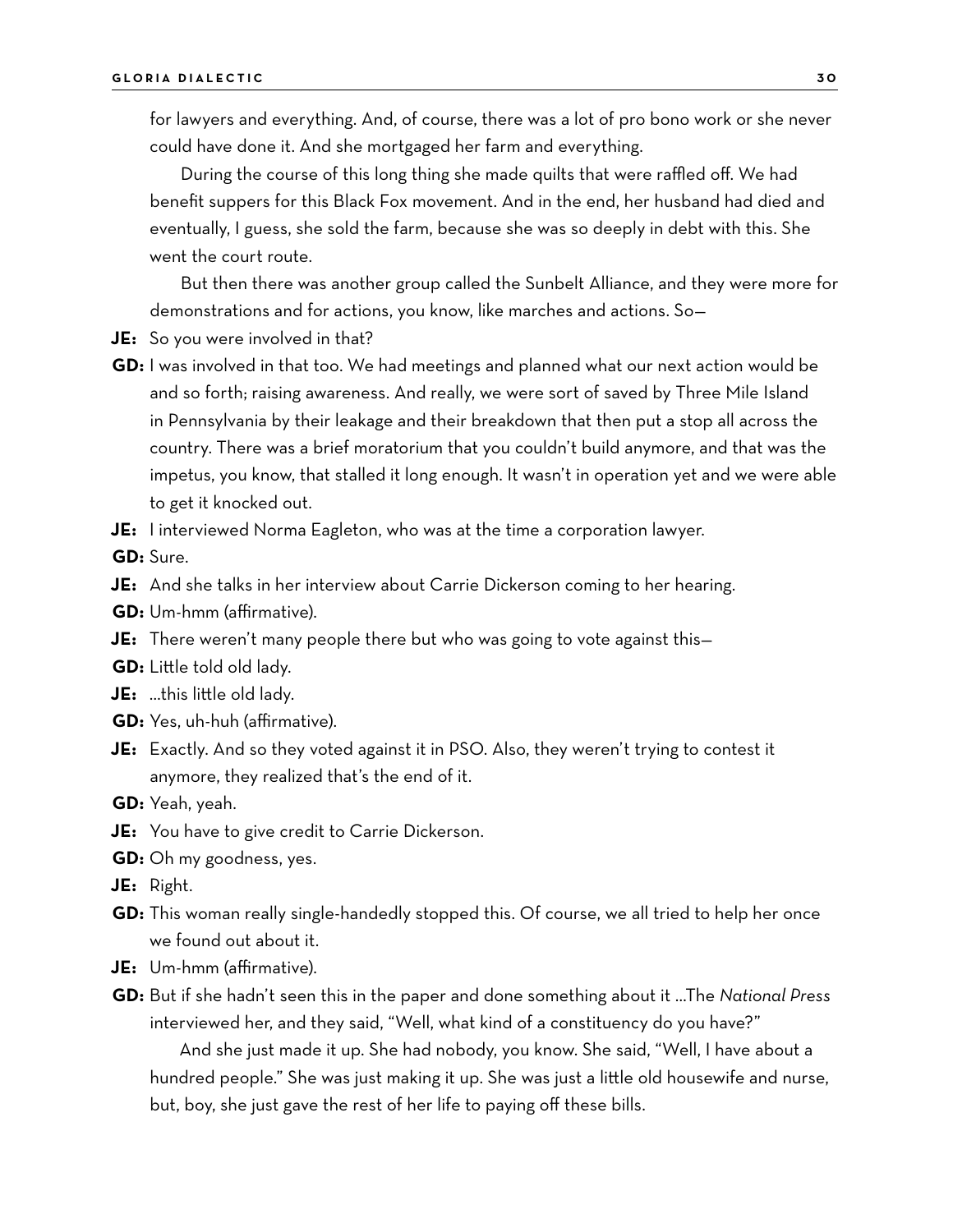for lawyers and everything. And, of course, there was a lot of pro bono work or she never could have done it. And she mortgaged her farm and everything.

During the course of this long thing she made quilts that were raffled off. We had benefit suppers for this Black Fox movement. And in the end, her husband had died and eventually, I guess, she sold the farm, because she was so deeply in debt with this. She went the court route.

But then there was another group called the Sunbelt Alliance, and they were more for demonstrations and for actions, you know, like marches and actions. So—

- **JE:** So you were involved in that?
- **GD:** I was involved in that too. We had meetings and planned what our next action would be and so forth; raising awareness. And really, we were sort of saved by Three Mile Island in Pennsylvania by their leakage and their breakdown that then put a stop all across the country. There was a brief moratorium that you couldn't build anymore, and that was the impetus, you know, that stalled it long enough. It wasn't in operation yet and we were able to get it knocked out.
- **JE:** I interviewed Norma Eagleton, who was at the time a corporation lawyer.

**GD:** Sure.

- **JE:** And she talks in her interview about Carrie Dickerson coming to her hearing.
- **GD:** Um-hmm (affirmative).
- **JE:** There weren't many people there but who was going to vote against this—
- **GD:** Little told old lady.
- **JE:** …this little old lady.
- **GD:** Yes, uh-huh (affirmative).
- **JE:** Exactly. And so they voted against it in PSO. Also, they weren't trying to contest it anymore, they realized that's the end of it.
- **GD:** Yeah, yeah.
- **JE:** You have to give credit to Carrie Dickerson.
- **GD:** Oh my goodness, yes.
- **JE:** Right.
- **GD:** This woman really single-handedly stopped this. Of course, we all tried to help her once we found out about it.
- **JE:** Um-hmm (affirmative).
- **GD:** But if she hadn't seen this in the paper and done something about it …The *National Press* interviewed her, and they said, "Well, what kind of a constituency do you have?"

And she just made it up. She had nobody, you know. She said, "Well, I have about a hundred people." She was just making it up. She was just a little old housewife and nurse, but, boy, she just gave the rest of her life to paying off these bills.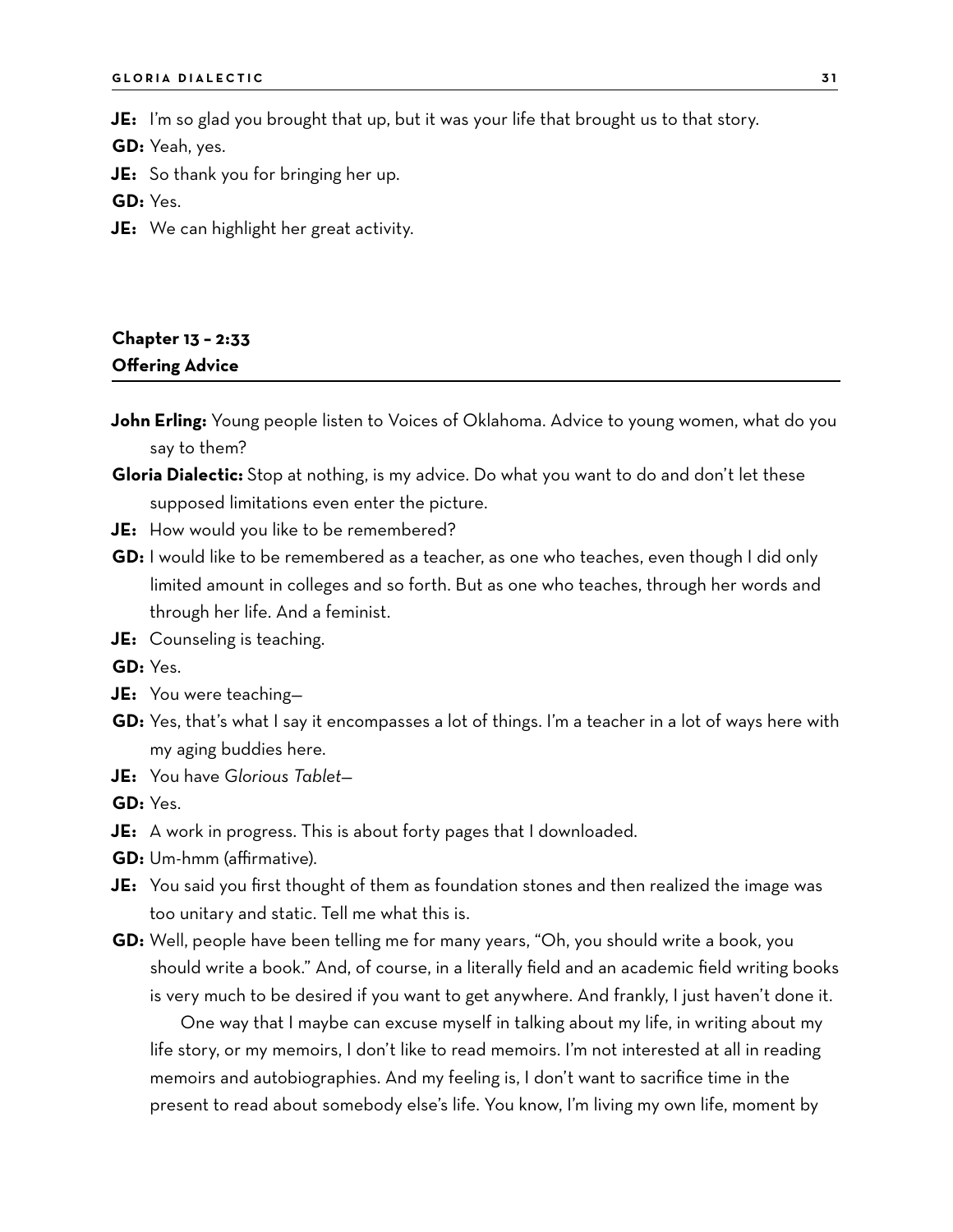**JE:** I'm so glad you brought that up, but it was your life that brought us to that story.

**GD:** Yeah, yes.

**JE:** So thank you for bringing her up.

**GD:** Yes.

**JE:** We can highlight her great activity.

## **Chapter 13 – 2:33 Offering Advice**

- **John Erling:** Young people listen to Voices of Oklahoma. Advice to young women, what do you say to them?
- **Gloria Dialectic:** Stop at nothing, is my advice. Do what you want to do and don't let these supposed limitations even enter the picture.
- **JE:** How would you like to be remembered?
- **GD:** I would like to be remembered as a teacher, as one who teaches, even though I did only limited amount in colleges and so forth. But as one who teaches, through her words and through her life. And a feminist.
- **JE:** Counseling is teaching.

**GD:** Yes.

- **JE:** You were teaching—
- **GD:** Yes, that's what I say it encompasses a lot of things. I'm a teacher in a lot of ways here with my aging buddies here.
- **JE:** You have *Glorious Tablet*—

**GD:** Yes.

- **JE:** A work in progress. This is about forty pages that I downloaded.
- **GD:** Um-hmm (affirmative).
- **JE:** You said you first thought of them as foundation stones and then realized the image was too unitary and static. Tell me what this is.
- **GD:** Well, people have been telling me for many years, "Oh, you should write a book, you should write a book." And, of course, in a literally field and an academic field writing books is very much to be desired if you want to get anywhere. And frankly, I just haven't done it.

One way that I maybe can excuse myself in talking about my life, in writing about my life story, or my memoirs, I don't like to read memoirs. I'm not interested at all in reading memoirs and autobiographies. And my feeling is, I don't want to sacrifice time in the present to read about somebody else's life. You know, I'm living my own life, moment by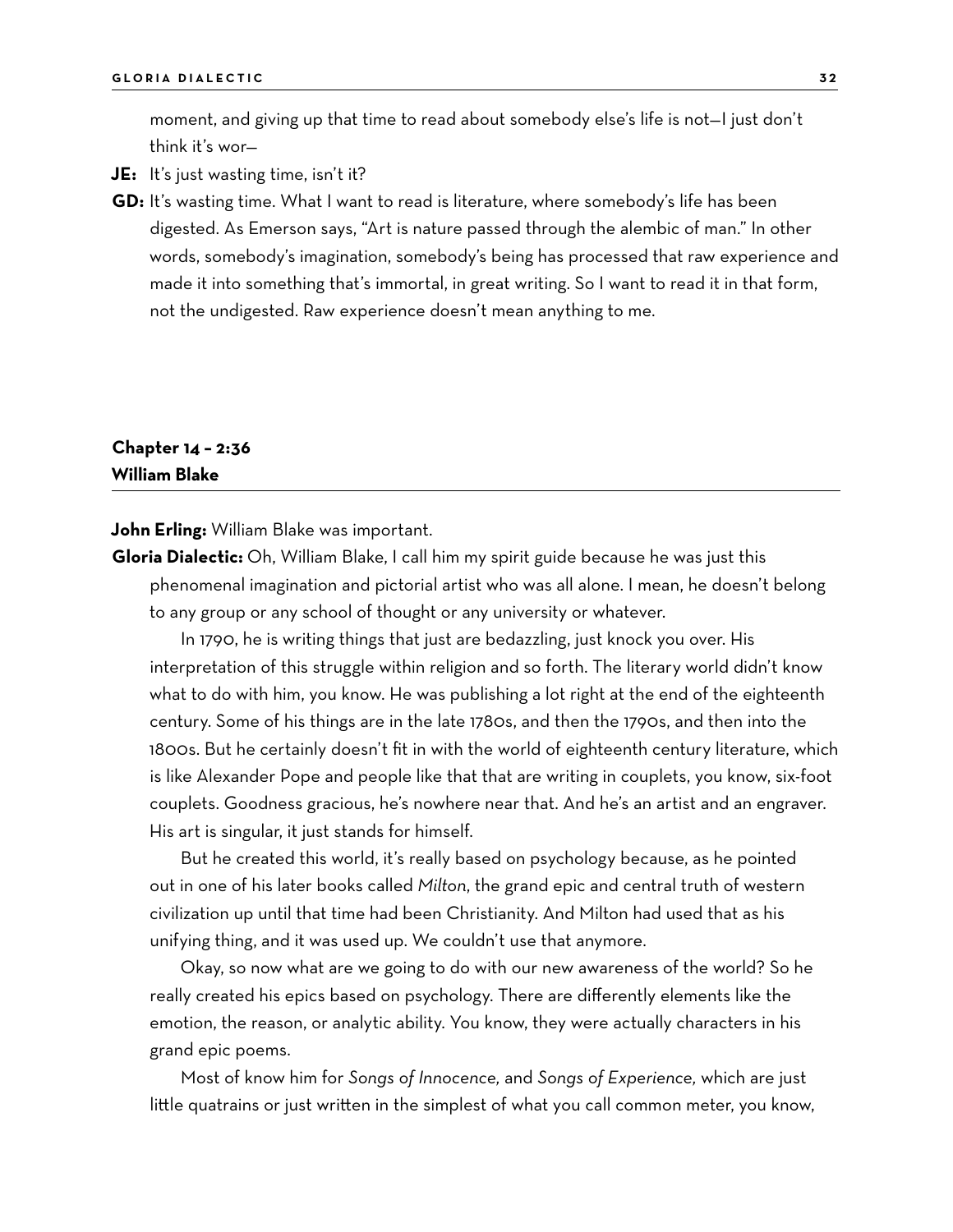moment, and giving up that time to read about somebody else's life is not—I just don't think it's wor—

- **JE:** It's just wasting time, isn't it?
- **GD:** It's wasting time. What I want to read is literature, where somebody's life has been digested. As Emerson says, "Art is nature passed through the alembic of man." In other words, somebody's imagination, somebody's being has processed that raw experience and made it into something that's immortal, in great writing. So I want to read it in that form, not the undigested. Raw experience doesn't mean anything to me.

#### **Chapter 14 – 2:36 William Blake**

**John Erling:** William Blake was important.

**Gloria Dialectic:** Oh, William Blake, I call him my spirit guide because he was just this phenomenal imagination and pictorial artist who was all alone. I mean, he doesn't belong to any group or any school of thought or any university or whatever.

In 1790, he is writing things that just are bedazzling, just knock you over. His interpretation of this struggle within religion and so forth. The literary world didn't know what to do with him, you know. He was publishing a lot right at the end of the eighteenth century. Some of his things are in the late 1780s, and then the 1790s, and then into the 1800s. But he certainly doesn't fit in with the world of eighteenth century literature, which is like Alexander Pope and people like that that are writing in couplets, you know, six-foot couplets. Goodness gracious, he's nowhere near that. And he's an artist and an engraver. His art is singular, it just stands for himself.

But he created this world, it's really based on psychology because, as he pointed out in one of his later books called *Milton*, the grand epic and central truth of western civilization up until that time had been Christianity. And Milton had used that as his unifying thing, and it was used up. We couldn't use that anymore.

Okay, so now what are we going to do with our new awareness of the world? So he really created his epics based on psychology. There are differently elements like the emotion, the reason, or analytic ability. You know, they were actually characters in his grand epic poems.

Most of know him for *Songs of Innocence,* and *Songs of Experience,* which are just little quatrains or just written in the simplest of what you call common meter, you know,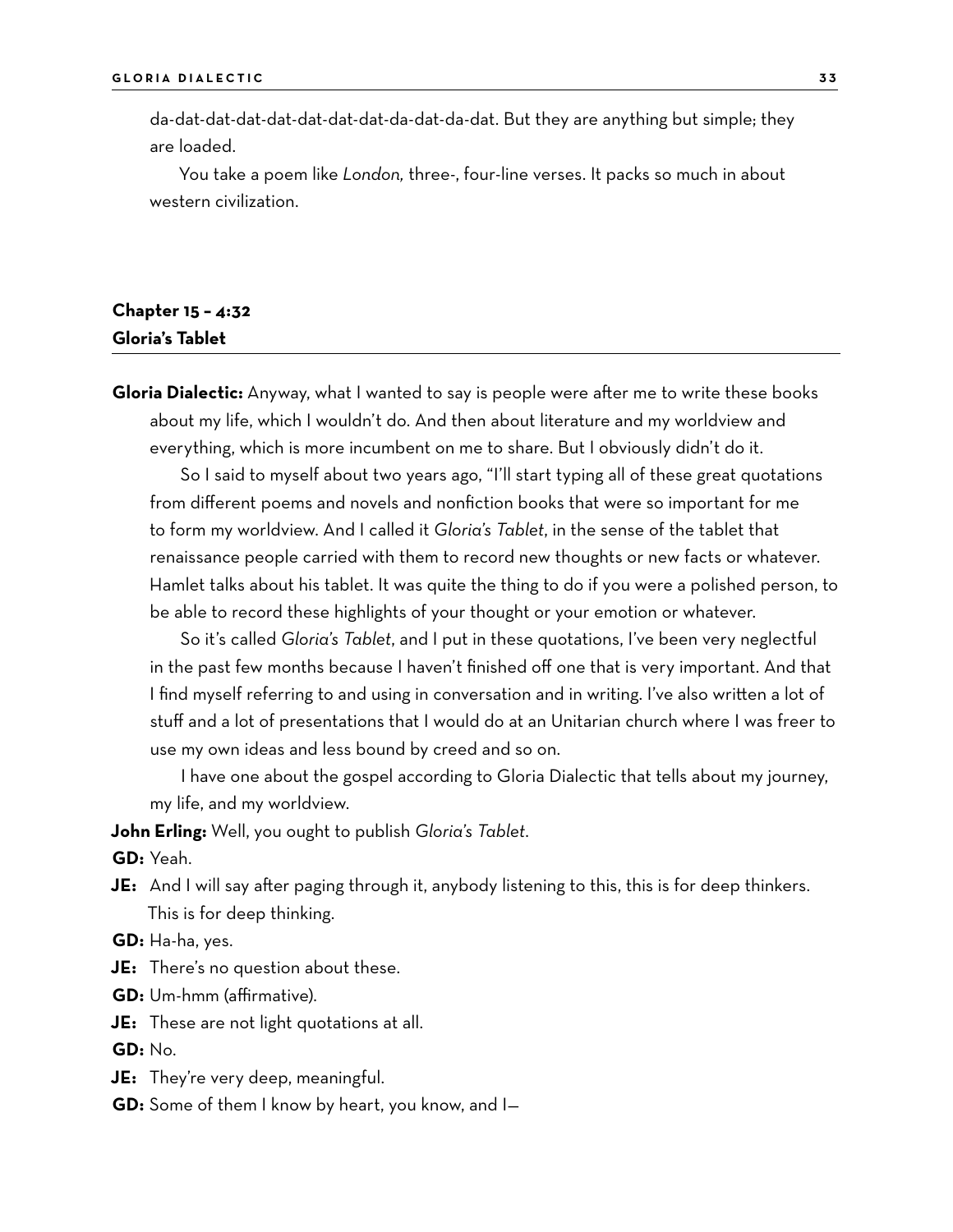da-dat-dat-dat-dat-dat-dat-dat-da-dat-da-dat. But they are anything but simple; they are loaded.

You take a poem like *London,* three-, four-line verses. It packs so much in about western civilization.

#### **Chapter 15 – 4:32 Gloria's Tablet**

**Gloria Dialectic:** Anyway, what I wanted to say is people were after me to write these books about my life, which I wouldn't do. And then about literature and my worldview and everything, which is more incumbent on me to share. But I obviously didn't do it.

So I said to myself about two years ago, "I'll start typing all of these great quotations from different poems and novels and nonfiction books that were so important for me to form my worldview. And I called it *Gloria's Tablet*, in the sense of the tablet that renaissance people carried with them to record new thoughts or new facts or whatever. Hamlet talks about his tablet. It was quite the thing to do if you were a polished person, to be able to record these highlights of your thought or your emotion or whatever.

So it's called *Gloria's Tablet*, and I put in these quotations, I've been very neglectful in the past few months because I haven't finished off one that is very important. And that I find myself referring to and using in conversation and in writing. I've also written a lot of stuff and a lot of presentations that I would do at an Unitarian church where I was freer to use my own ideas and less bound by creed and so on.

I have one about the gospel according to Gloria Dialectic that tells about my journey, my life, and my worldview.

**John Erling:** Well, you ought to publish *Gloria's Tablet*.

**GD:** Yeah.

**JE:** And I will say after paging through it, anybody listening to this, this is for deep thinkers. This is for deep thinking.

**GD:** Ha-ha, yes.

**JE:** There's no question about these.

**GD:** Um-hmm (affirmative).

**JE:** These are not light quotations at all.

**GD:** No.

**JE:** They're very deep, meaningful.

**GD:** Some of them I know by heart, you know, and I—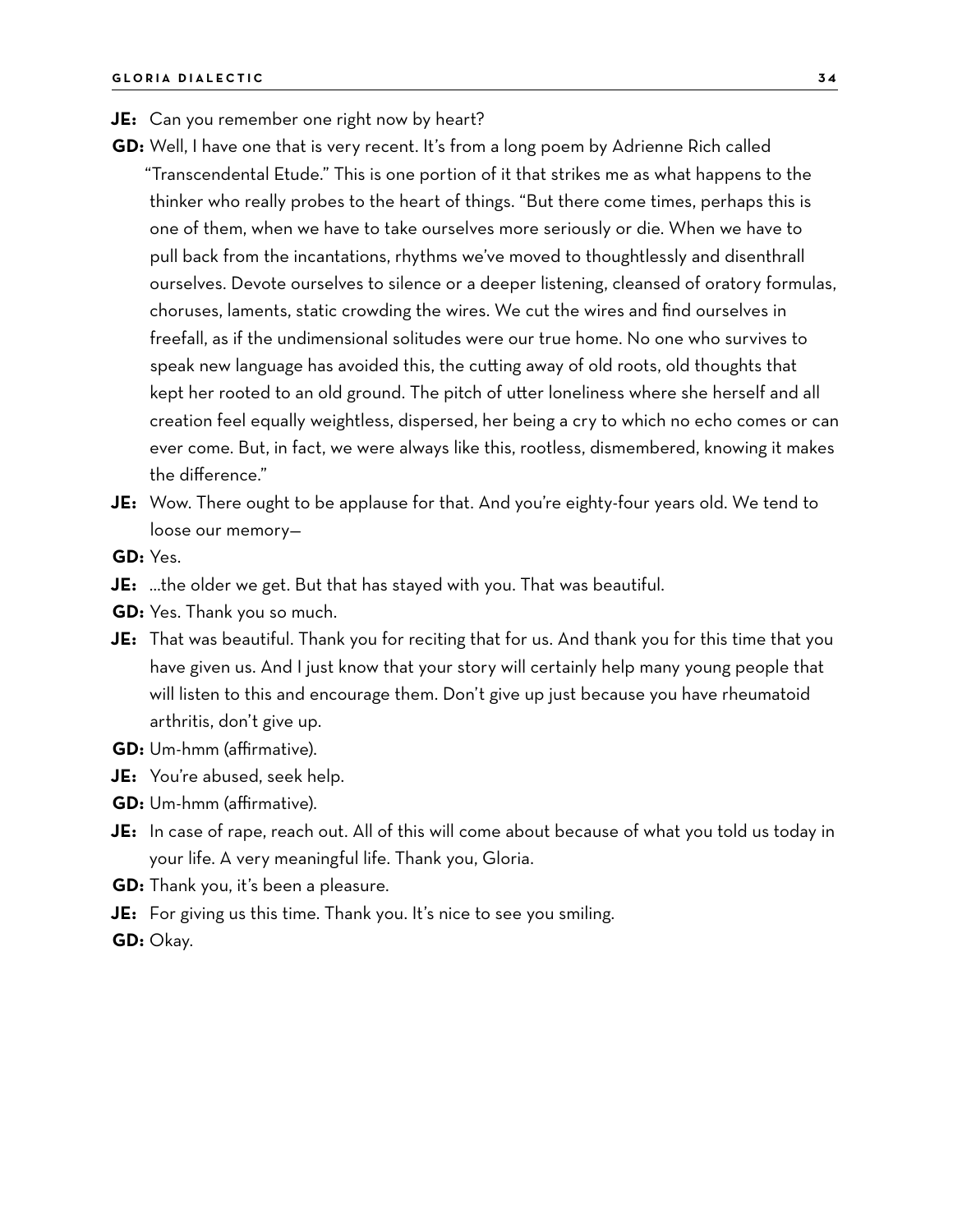- **JE:** Can you remember one right now by heart?
- **GD:** Well, I have one that is very recent. It's from a long poem by Adrienne Rich called "Transcendental Etude." This is one portion of it that strikes me as what happens to the thinker who really probes to the heart of things. "But there come times, perhaps this is one of them, when we have to take ourselves more seriously or die. When we have to pull back from the incantations, rhythms we've moved to thoughtlessly and disenthrall ourselves. Devote ourselves to silence or a deeper listening, cleansed of oratory formulas, choruses, laments, static crowding the wires. We cut the wires and find ourselves in freefall, as if the undimensional solitudes were our true home. No one who survives to speak new language has avoided this, the cutting away of old roots, old thoughts that kept her rooted to an old ground. The pitch of utter loneliness where she herself and all creation feel equally weightless, dispersed, her being a cry to which no echo comes or can ever come. But, in fact, we were always like this, rootless, dismembered, knowing it makes the difference."
- **JE:** Wow. There ought to be applause for that. And you're eighty-four years old. We tend to loose our memory—

**GD:** Yes.

- **JE:** …the older we get. But that has stayed with you. That was beautiful.
- **GD:** Yes. Thank you so much.
- **JE:** That was beautiful. Thank you for reciting that for us. And thank you for this time that you have given us. And I just know that your story will certainly help many young people that will listen to this and encourage them. Don't give up just because you have rheumatoid arthritis, don't give up.
- **GD:** Um-hmm (affirmative).
- **JE:** You're abused, seek help.
- **GD:** Um-hmm (affirmative).
- **JE:** In case of rape, reach out. All of this will come about because of what you told us today in your life. A very meaningful life. Thank you, Gloria.
- **GD:** Thank you, it's been a pleasure.
- **JE:** For giving us this time. Thank you. It's nice to see you smiling.
- **GD:** Okay.